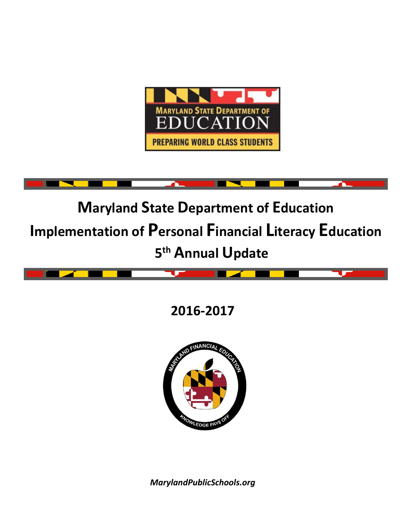



# **2016-2017**



*MarylandPublicSchools.org*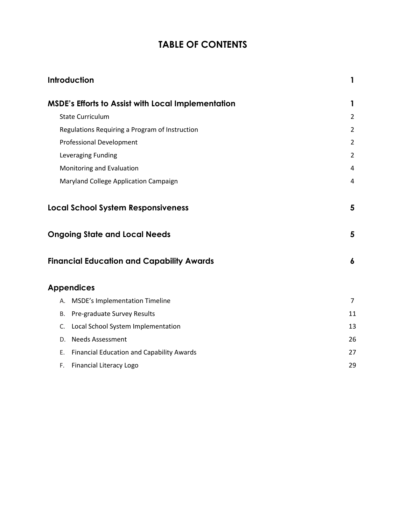# **TABLE OF CONTENTS**

|    | Introduction                                              | 1              |
|----|-----------------------------------------------------------|----------------|
|    | <b>MSDE's Efforts to Assist with Local Implementation</b> | 1              |
|    | <b>State Curriculum</b>                                   | $\overline{2}$ |
|    | Regulations Requiring a Program of Instruction            | $\overline{2}$ |
|    | <b>Professional Development</b>                           | $\overline{2}$ |
|    | Leveraging Funding                                        | $\overline{2}$ |
|    | Monitoring and Evaluation                                 | 4              |
|    | Maryland College Application Campaign                     | 4              |
|    | <b>Local School System Responsiveness</b>                 | 5              |
|    | <b>Ongoing State and Local Needs</b>                      | 5              |
|    | <b>Financial Education and Capability Awards</b>          | 6              |
|    | <b>Appendices</b>                                         |                |
|    | A. MSDE's Implementation Timeline                         | $\overline{7}$ |
| В. | Pre-graduate Survey Results                               | 11             |
| C. | Local School System Implementation                        | 13             |
| D. | <b>Needs Assessment</b>                                   | 26             |
| Е. | <b>Financial Education and Capability Awards</b>          | 27             |
| F. | Financial Literacy Logo                                   | 29             |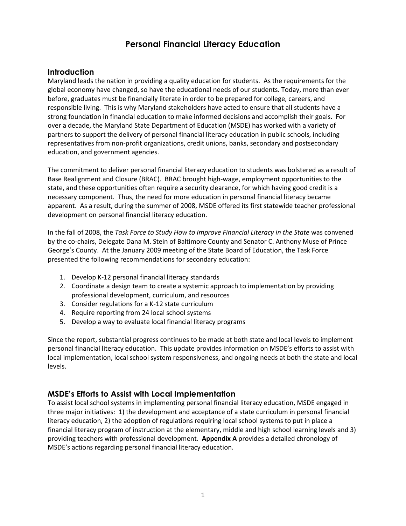# **Personal Financial Literacy Education**

## **Introduction**

Maryland leads the nation in providing a quality education for students. As the requirements for the global economy have changed, so have the educational needs of our students. Today, more than ever before, graduates must be financially literate in order to be prepared for college, careers, and responsible living. This is why Maryland stakeholders have acted to ensure that all students have a strong foundation in financial education to make informed decisions and accomplish their goals. For over a decade, the Maryland State Department of Education (MSDE) has worked with a variety of partners to support the delivery of personal financial literacy education in public schools, including representatives from non-profit organizations, credit unions, banks, secondary and postsecondary education, and government agencies.

The commitment to deliver personal financial literacy education to students was bolstered as a result of Base Realignment and Closure (BRAC). BRAC brought high-wage, employment opportunities to the state, and these opportunities often require a security clearance, for which having good credit is a necessary component. Thus, the need for more education in personal financial literacy became apparent. As a result, during the summer of 2008, MSDE offered its first statewide teacher professional development on personal financial literacy education.

In the fall of 2008, the *Task Force to Study How to Improve Financial Literacy in the State* was convened by the co-chairs, Delegate Dana M. Stein of Baltimore County and Senator C. Anthony Muse of Prince George's County. At the January 2009 meeting of the State Board of Education, the Task Force presented the following recommendations for secondary education:

- 1. Develop K-12 personal financial literacy standards
- 2. Coordinate a design team to create a systemic approach to implementation by providing professional development, curriculum, and resources
- 3. Consider regulations for a K-12 state curriculum
- 4. Require reporting from 24 local school systems
- 5. Develop a way to evaluate local financial literacy programs

Since the report, substantial progress continues to be made at both state and local levels to implement personal financial literacy education. This update provides information on MSDE's efforts to assist with local implementation, local school system responsiveness, and ongoing needs at both the state and local levels.

# **MSDE's Efforts to Assist with Local Implementation**

To assist local school systems in implementing personal financial literacy education, MSDE engaged in three major initiatives: 1) the development and acceptance of a state curriculum in personal financial literacy education, 2) the adoption of regulations requiring local school systems to put in place a financial literacy program of instruction at the elementary, middle and high school learning levels and 3) providing teachers with professional development. **Appendix A** provides a detailed chronology of MSDE's actions regarding personal financial literacy education.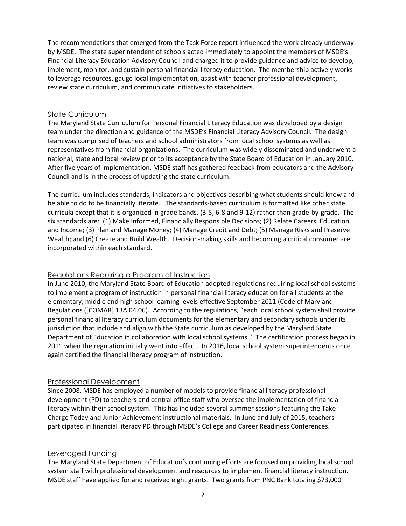The recommendations that emerged from the Task Force report influenced the work already underway by MSDE. The state superintendent of schools acted immediately to appoint the members of MSDE's Financial Literacy Education Advisory Council and charged it to provide guidance and advice to develop, implement, monitor, and sustain personal financial literacy education. The membership actively works to leverage resources, gauge local implementation, assist with teacher professional development, review state curriculum, and communicate initiatives to stakeholders.

### State Curriculum

The Maryland State Curriculum for Personal Financial Literacy Education was developed by a design team under the direction and guidance of the MSDE's Financial Literacy Advisory Council. The design team was comprised of teachers and school administrators from local school systems as well as representatives from financial organizations. The curriculum was widely disseminated and underwent a national, state and local review prior to its acceptance by the State Board of Education in January 2010. After five years of implementation, MSDE staff has gathered feedback from educators and the Advisory Council and is in the process of updating the state curriculum.

The curriculum includes standards, indicators and objectives describing what students should know and be able to do to be financially literate. The standards-based curriculum is formatted like other state curricula except that it is organized in grade bands, (3-5, 6-8 and 9-12) rather than grade-by-grade. The six standards are: (1) Make Informed, Financially Responsible Decisions; (2) Relate Careers, Education and Income; (3) Plan and Manage Money; (4) Manage Credit and Debt; (5) Manage Risks and Preserve Wealth; and (6) Create and Build Wealth. Decision-making skills and becoming a critical consumer are incorporated within each standard.

## Regulations Requiring a Program of Instruction

In June 2010, the Maryland State Board of Education adopted regulations requiring local school systems to implement a program of instruction in personal financial literacy education for all students at the elementary, middle and high school learning levels effective September 2011 (Code of Maryland Regulations ([COMAR] 13A.04.06). According to the regulations, "each local school system shall provide personal financial literacy curriculum documents for the elementary and secondary schools under its jurisdiction that include and align with the State curriculum as developed by the Maryland State Department of Education in collaboration with local school systems." The certification process began in 2011 when the regulation initially went into effect. In 2016, local school system superintendents once again certified the financial literacy program of instruction.

## Professional Development

Since 2008, MSDE has employed a number of models to provide financial literacy professional development (PD) to teachers and central office staff who oversee the implementation of financial literacy within their school system. This has included several summer sessions featuring the Take Charge Today and Junior Achievement instructional materials. In June and July of 2015, teachers participated in financial literacy PD through MSDE's College and Career Readiness Conferences.

### Leveraged Funding

The Maryland State Department of Education's continuing efforts are focused on providing local school system staff with professional development and resources to implement financial literacy instruction. MSDE staff have applied for and received eight grants. Two grants from PNC Bank totaling \$73,000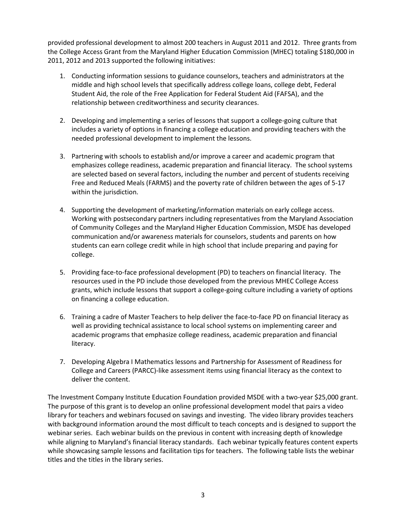provided professional development to almost 200 teachers in August 2011 and 2012. Three grants from the College Access Grant from the Maryland Higher Education Commission (MHEC) totaling \$180,000 in 2011, 2012 and 2013 supported the following initiatives:

- 1. Conducting information sessions to guidance counselors, teachers and administrators at the middle and high school levels that specifically address college loans, college debt, Federal Student Aid, the role of the Free Application for Federal Student Aid (FAFSA), and the relationship between creditworthiness and security clearances.
- 2. Developing and implementing a series of lessons that support a college-going culture that includes a variety of options in financing a college education and providing teachers with the needed professional development to implement the lessons.
- 3. Partnering with schools to establish and/or improve a career and academic program that emphasizes college readiness, academic preparation and financial literacy. The school systems are selected based on several factors, including the number and percent of students receiving Free and Reduced Meals (FARMS) and the poverty rate of children between the ages of 5-17 within the jurisdiction.
- 4. Supporting the development of marketing/information materials on early college access. Working with postsecondary partners including representatives from the Maryland Association of Community Colleges and the Maryland Higher Education Commission, MSDE has developed communication and/or awareness materials for counselors, students and parents on how students can earn college credit while in high school that include preparing and paying for college.
- 5. Providing face-to-face professional development (PD) to teachers on financial literacy. The resources used in the PD include those developed from the previous MHEC College Access grants, which include lessons that support a college-going culture including a variety of options on financing a college education.
- 6. Training a cadre of Master Teachers to help deliver the face-to-face PD on financial literacy as well as providing technical assistance to local school systems on implementing career and academic programs that emphasize college readiness, academic preparation and financial literacy.
- 7. Developing Algebra I Mathematics lessons and Partnership for Assessment of Readiness for College and Careers (PARCC)-like assessment items using financial literacy as the context to deliver the content.

The Investment Company Institute Education Foundation provided MSDE with a two-year \$25,000 grant. The purpose of this grant is to develop an online professional development model that pairs a video library for teachers and webinars focused on savings and investing. The video library provides teachers with background information around the most difficult to teach concepts and is designed to support the webinar series. Each webinar builds on the previous in content with increasing depth of knowledge while aligning to Maryland's financial literacy standards. Each webinar typically features content experts while showcasing sample lessons and facilitation tips for teachers. The following table lists the webinar titles and the titles in the library series.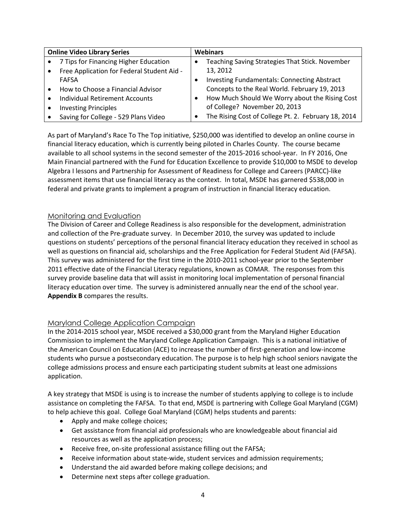| <b>Online Video Library Series</b> |                                            | <b>Webinars</b> |                                                     |  |
|------------------------------------|--------------------------------------------|-----------------|-----------------------------------------------------|--|
| $\bullet$                          | 7 Tips for Financing Higher Education      |                 | Teaching Saving Strategies That Stick. November     |  |
| $\bullet$                          | Free Application for Federal Student Aid - |                 | 13, 2012                                            |  |
|                                    | <b>FAFSA</b>                               |                 | <b>Investing Fundamentals: Connecting Abstract</b>  |  |
| $\bullet$                          | How to Choose a Financial Advisor          |                 | Concepts to the Real World. February 19, 2013       |  |
| $\bullet$                          | Individual Retirement Accounts             | $\bullet$       | How Much Should We Worry about the Rising Cost      |  |
| $\bullet$                          | <b>Investing Principles</b>                |                 | of College? November 20, 2013                       |  |
|                                    | Saving for College - 529 Plans Video       |                 | The Rising Cost of College Pt. 2. February 18, 2014 |  |

As part of Maryland's Race To The Top initiative, \$250,000 was identified to develop an online course in financial literacy education, which is currently being piloted in Charles County. The course became available to all school systems in the second semester of the 2015-2016 school-year. In FY 2016, One Main Financial partnered with the Fund for Education Excellence to provide \$10,000 to MSDE to develop Algebra I lessons and Partnership for Assessment of Readiness for College and Careers (PARCC)-like assessment items that use financial literacy as the context. In total, MSDE has garnered \$538,000 in federal and private grants to implement a program of instruction in financial literacy education.

## Monitoring and Evaluation

The Division of Career and College Readiness is also responsible for the development, administration and collection of the Pre-graduate survey. In December 2010, the survey was updated to include questions on students' perceptions of the personal financial literacy education they received in school as well as questions on financial aid, scholarships and the Free Application for Federal Student Aid (FAFSA). This survey was administered for the first time in the 2010-2011 school-year prior to the September 2011 effective date of the Financial Literacy regulations, known as COMAR. The responses from this survey provide baseline data that will assist in monitoring local implementation of personal financial literacy education over time. The survey is administered annually near the end of the school year. **Appendix B** compares the results.

## Maryland College Application Campaign

In the 2014-2015 school year, MSDE received a \$30,000 grant from the Maryland Higher Education Commission to implement the Maryland College Application Campaign. This is a national initiative of the American Council on Education (ACE) to increase the number of first-generation and low-income students who pursue a postsecondary education. The purpose is to help high school seniors navigate the college admissions process and ensure each participating student submits at least one admissions application.

A key strategy that MSDE is using is to increase the number of students applying to college is to include assistance on completing the FAFSA. To that end, MSDE is partnering with College Goal Maryland (CGM) to help achieve this goal. College Goal Maryland (CGM) helps students and parents:

- Apply and make college choices;
- Get assistance from financial aid professionals who are knowledgeable about financial aid resources as well as the application process;
- Receive free, on-site professional assistance filling out the FAFSA;
- Receive information about state-wide, student services and admission requirements;
- Understand the aid awarded before making college decisions; and
- Determine next steps after college graduation.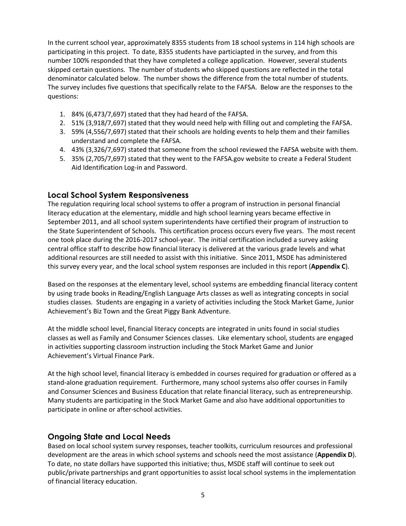In the current school year, approximately 8355 students from 18 school systems in 114 high schools are participating in this project. To date, 8355 students have particiapted in the survey, and from this number 100% responded that they have completed a college application. However, several students skipped certain questions. The number of students who skipped questions are reflected in the total denominator calculated below. The number shows the difference from the total number of students. The survey includes five questions that specifically relate to the FAFSA. Below are the responses to the questions:

- 1. 84% (6,473/7,697) stated that they had heard of the FAFSA.
- 2. 51% (3,918/7,697) stated that they would need help with filling out and completing the FAFSA.
- 3. 59% (4,556/7,697) stated that their schools are holding events to help them and their families understand and complete the FAFSA.
- 4. 43% (3,326/7,697) stated that someone from the school reviewed the FAFSA website with them.
- 5. 35% (2,705/7,697) stated that they went to the FAFSA.gov website to create a Federal Student Aid Identification Log-in and Password.

## **Local School System Responsiveness**

The regulation requiring local school systems to offer a program of instruction in personal financial literacy education at the elementary, middle and high school learning years became effective in September 2011, and all school system superintendents have certified their program of instruction to the State Superintendent of Schools. This certification process occurs every five years. The most recent one took place during the 2016-2017 school-year. The initial certification included a survey asking central office staff to describe how financial literacy is delivered at the various grade levels and what additional resources are still needed to assist with this initiative. Since 2011, MSDE has administered this survey every year, and the local school system responses are included in this report (**Appendix C**).

Based on the responses at the elementary level, school systems are embedding financial literacy content by using trade books in Reading/English Language Arts classes as well as integrating concepts in social studies classes. Students are engaging in a variety of activities including the Stock Market Game, Junior Achievement's Biz Town and the Great Piggy Bank Adventure.

At the middle school level, financial literacy concepts are integrated in units found in social studies classes as well as Family and Consumer Sciences classes. Like elementary school, students are engaged in activities supporting classroom instruction including the Stock Market Game and Junior Achievement's Virtual Finance Park.

At the high school level, financial literacy is embedded in courses required for graduation or offered as a stand-alone graduation requirement. Furthermore, many school systems also offer courses in Family and Consumer Sciences and Business Education that relate financial literacy, such as entrepreneurship. Many students are participating in the Stock Market Game and also have additional opportunities to participate in online or after-school activities.

## **Ongoing State and Local Needs**

Based on local school system survey responses, teacher toolkits, curriculum resources and professional development are the areas in which school systems and schools need the most assistance (**Appendix D**). To date, no state dollars have supported this initiative; thus, MSDE staff will continue to seek out public/private partnerships and grant opportunities to assist local school systems in the implementation of financial literacy education.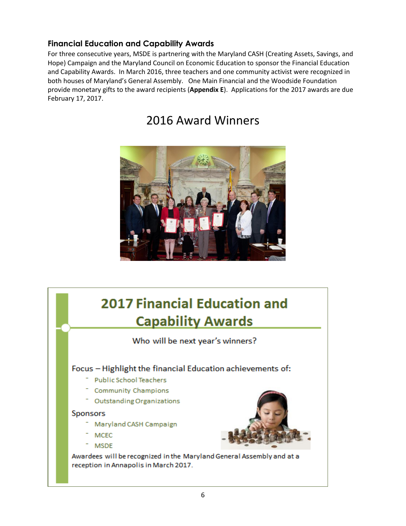# **Financial Education and Capability Awards**

For three consecutive years, MSDE is partnering with the Maryland CASH (Creating Assets, Savings, and Hope) Campaign and the Maryland Council on Economic Education to sponsor the Financial Education and Capability Awards. In March 2016, three teachers and one community activist were recognized in both houses of Maryland's General Assembly. One Main Financial and the Woodside Foundation provide monetary gifts to the award recipients (**Appendix E**). Applications for the 2017 awards are due February 17, 2017.

# 2016 Award Winners



# **2017 Financial Education and Capability Awards**

Who will be next year's winners?

# Focus - Highlight the financial Education achievements of:

- **Public School Teachers**
- **Community Champions**
- Outstanding Organizations

### Sponsors

- Maryland CASH Campaign
- **MCEC**
- **MSDE**

Awardees will be recognized in the Maryland General Assembly and at a reception in Annapolis in March 2017.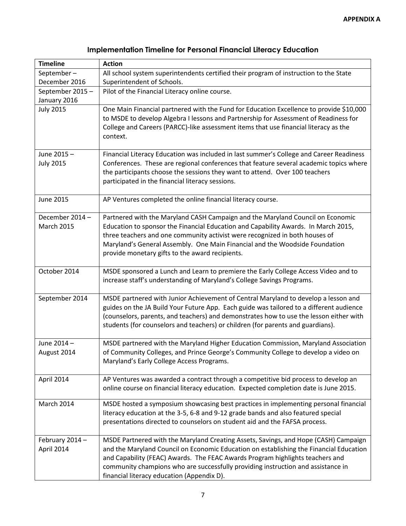| <b>Timeline</b>                     | <b>Action</b>                                                                                                                                                                                                                                                                                                                                                                                    |
|-------------------------------------|--------------------------------------------------------------------------------------------------------------------------------------------------------------------------------------------------------------------------------------------------------------------------------------------------------------------------------------------------------------------------------------------------|
| September-                          | All school system superintendents certified their program of instruction to the State                                                                                                                                                                                                                                                                                                            |
| December 2016                       | Superintendent of Schools.                                                                                                                                                                                                                                                                                                                                                                       |
| September 2015-                     | Pilot of the Financial Literacy online course.                                                                                                                                                                                                                                                                                                                                                   |
| January 2016                        |                                                                                                                                                                                                                                                                                                                                                                                                  |
| <b>July 2015</b>                    | One Main Financial partnered with the Fund for Education Excellence to provide \$10,000<br>to MSDE to develop Algebra I lessons and Partnership for Assessment of Readiness for<br>College and Careers (PARCC)-like assessment items that use financial literacy as the<br>context.                                                                                                              |
|                                     |                                                                                                                                                                                                                                                                                                                                                                                                  |
| June 2015-<br><b>July 2015</b>      | Financial Literacy Education was included in last summer's College and Career Readiness<br>Conferences. These are regional conferences that feature several academic topics where<br>the participants choose the sessions they want to attend. Over 100 teachers<br>participated in the financial literacy sessions.                                                                             |
| <b>June 2015</b>                    | AP Ventures completed the online financial literacy course.                                                                                                                                                                                                                                                                                                                                      |
| December 2014-<br><b>March 2015</b> | Partnered with the Maryland CASH Campaign and the Maryland Council on Economic<br>Education to sponsor the Financial Education and Capability Awards. In March 2015,<br>three teachers and one community activist were recognized in both houses of<br>Maryland's General Assembly. One Main Financial and the Woodside Foundation<br>provide monetary gifts to the award recipients.            |
| October 2014                        | MSDE sponsored a Lunch and Learn to premiere the Early College Access Video and to<br>increase staff's understanding of Maryland's College Savings Programs.                                                                                                                                                                                                                                     |
| September 2014                      | MSDE partnered with Junior Achievement of Central Maryland to develop a lesson and<br>guides on the JA Build Your Future App. Each guide was tailored to a different audience<br>(counselors, parents, and teachers) and demonstrates how to use the lesson either with<br>students (for counselors and teachers) or children (for parents and guardians).                                       |
| June 2014 -<br>August 2014          | MSDE partnered with the Maryland Higher Education Commission, Maryland Association<br>of Community Colleges, and Prince George's Community College to develop a video on<br>Maryland's Early College Access Programs.                                                                                                                                                                            |
| April 2014                          | AP Ventures was awarded a contract through a competitive bid process to develop an<br>online course on financial literacy education. Expected completion date is June 2015.                                                                                                                                                                                                                      |
| March 2014                          | MSDE hosted a symposium showcasing best practices in implementing personal financial<br>literacy education at the 3-5, 6-8 and 9-12 grade bands and also featured special<br>presentations directed to counselors on student aid and the FAFSA process.                                                                                                                                          |
| February 2014 -<br>April 2014       | MSDE Partnered with the Maryland Creating Assets, Savings, and Hope (CASH) Campaign<br>and the Maryland Council on Economic Education on establishing the Financial Education<br>and Capability (FEAC) Awards. The FEAC Awards Program highlights teachers and<br>community champions who are successfully providing instruction and assistance in<br>financial literacy education (Appendix D). |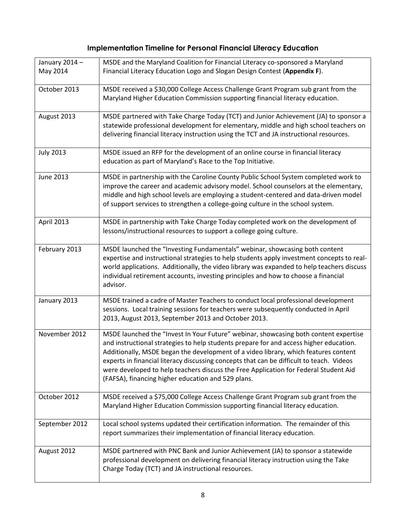| January 2014 -<br>May 2014 | MSDE and the Maryland Coalition for Financial Literacy co-sponsored a Maryland<br>Financial Literacy Education Logo and Slogan Design Contest (Appendix F).                                                                                                                                                                                                                                                                                                                                                     |
|----------------------------|-----------------------------------------------------------------------------------------------------------------------------------------------------------------------------------------------------------------------------------------------------------------------------------------------------------------------------------------------------------------------------------------------------------------------------------------------------------------------------------------------------------------|
| October 2013               | MSDE received a \$30,000 College Access Challenge Grant Program sub grant from the<br>Maryland Higher Education Commission supporting financial literacy education.                                                                                                                                                                                                                                                                                                                                             |
| August 2013                | MSDE partnered with Take Charge Today (TCT) and Junior Achievement (JA) to sponsor a<br>statewide professional development for elementary, middle and high school teachers on<br>delivering financial literacy instruction using the TCT and JA instructional resources.                                                                                                                                                                                                                                        |
| <b>July 2013</b>           | MSDE issued an RFP for the development of an online course in financial literacy<br>education as part of Maryland's Race to the Top Initiative.                                                                                                                                                                                                                                                                                                                                                                 |
| June 2013                  | MSDE in partnership with the Caroline County Public School System completed work to<br>improve the career and academic advisory model. School counselors at the elementary,<br>middle and high school levels are employing a student-centered and data-driven model<br>of support services to strengthen a college-going culture in the school system.                                                                                                                                                          |
| April 2013                 | MSDE in partnership with Take Charge Today completed work on the development of<br>lessons/instructional resources to support a college going culture.                                                                                                                                                                                                                                                                                                                                                          |
| February 2013              | MSDE launched the "Investing Fundamentals" webinar, showcasing both content<br>expertise and instructional strategies to help students apply investment concepts to real-<br>world applications. Additionally, the video library was expanded to help teachers discuss<br>individual retirement accounts, investing principles and how to choose a financial<br>advisor.                                                                                                                                        |
| January 2013               | MSDE trained a cadre of Master Teachers to conduct local professional development<br>sessions. Local training sessions for teachers were subsequently conducted in April<br>2013, August 2013, September 2013 and October 2013.                                                                                                                                                                                                                                                                                 |
| November 2012              | MSDE launched the "Invest In Your Future" webinar, showcasing both content expertise<br>and instructional strategies to help students prepare for and access higher education.<br>Additionally, MSDE began the development of a video library, which features content<br>experts in financial literacy discussing concepts that can be difficult to teach. Videos<br>were developed to help teachers discuss the Free Application for Federal Student Aid<br>(FAFSA), financing higher education and 529 plans. |
| October 2012               | MSDE received a \$75,000 College Access Challenge Grant Program sub grant from the<br>Maryland Higher Education Commission supporting financial literacy education.                                                                                                                                                                                                                                                                                                                                             |
| September 2012             | Local school systems updated their certification information. The remainder of this<br>report summarizes their implementation of financial literacy education.                                                                                                                                                                                                                                                                                                                                                  |
| August 2012                | MSDE partnered with PNC Bank and Junior Achievement (JA) to sponsor a statewide<br>professional development on delivering financial literacy instruction using the Take<br>Charge Today (TCT) and JA instructional resources.                                                                                                                                                                                                                                                                                   |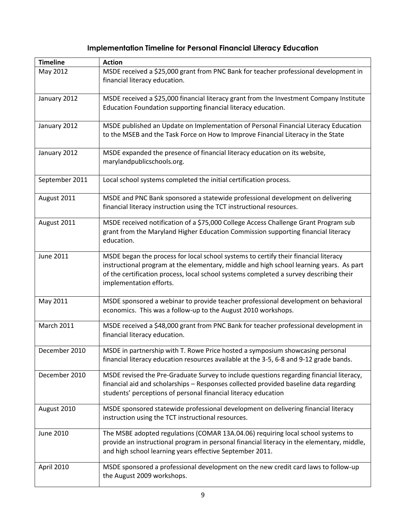| <b>Timeline</b>   | <b>Action</b>                                                                                                                                                                                                                                                                                       |
|-------------------|-----------------------------------------------------------------------------------------------------------------------------------------------------------------------------------------------------------------------------------------------------------------------------------------------------|
| May 2012          | MSDE received a \$25,000 grant from PNC Bank for teacher professional development in<br>financial literacy education.                                                                                                                                                                               |
| January 2012      | MSDE received a \$25,000 financial literacy grant from the Investment Company Institute<br>Education Foundation supporting financial literacy education.                                                                                                                                            |
| January 2012      | MSDE published an Update on Implementation of Personal Financial Literacy Education<br>to the MSEB and the Task Force on How to Improve Financial Literacy in the State                                                                                                                             |
| January 2012      | MSDE expanded the presence of financial literacy education on its website,<br>marylandpublicschools.org.                                                                                                                                                                                            |
| September 2011    | Local school systems completed the initial certification process.                                                                                                                                                                                                                                   |
| August 2011       | MSDE and PNC Bank sponsored a statewide professional development on delivering<br>financial literacy instruction using the TCT instructional resources.                                                                                                                                             |
| August 2011       | MSDE received notification of a \$75,000 College Access Challenge Grant Program sub<br>grant from the Maryland Higher Education Commission supporting financial literacy<br>education.                                                                                                              |
| June 2011         | MSDE began the process for local school systems to certify their financial literacy<br>instructional program at the elementary, middle and high school learning years. As part<br>of the certification process, local school systems completed a survey describing their<br>implementation efforts. |
| May 2011          | MSDE sponsored a webinar to provide teacher professional development on behavioral<br>economics. This was a follow-up to the August 2010 workshops.                                                                                                                                                 |
| <b>March 2011</b> | MSDE received a \$48,000 grant from PNC Bank for teacher professional development in<br>financial literacy education.                                                                                                                                                                               |
| December 2010     | MSDE in partnership with T. Rowe Price hosted a symposium showcasing personal<br>financial literacy education resources available at the 3-5, 6-8 and 9-12 grade bands.                                                                                                                             |
| December 2010     | MSDE revised the Pre-Graduate Survey to include questions regarding financial literacy,<br>financial aid and scholarships - Responses collected provided baseline data regarding<br>students' perceptions of personal financial literacy education                                                  |
| August 2010       | MSDE sponsored statewide professional development on delivering financial literacy<br>instruction using the TCT instructional resources.                                                                                                                                                            |
| June 2010         | The MSBE adopted regulations (COMAR 13A.04.06) requiring local school systems to<br>provide an instructional program in personal financial literacy in the elementary, middle,<br>and high school learning years effective September 2011.                                                          |
| April 2010        | MSDE sponsored a professional development on the new credit card laws to follow-up<br>the August 2009 workshops.                                                                                                                                                                                    |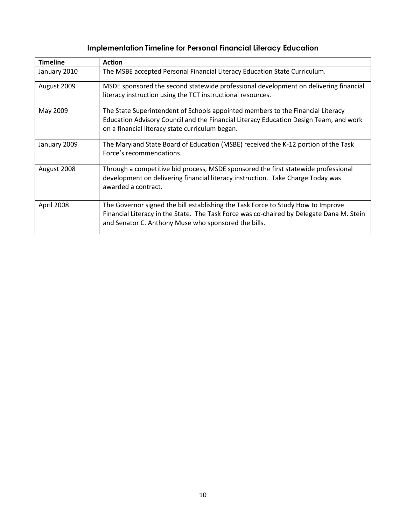| <b>Timeline</b> | <b>Action</b>                                                                                                                                       |
|-----------------|-----------------------------------------------------------------------------------------------------------------------------------------------------|
| January 2010    | The MSBE accepted Personal Financial Literacy Education State Curriculum.                                                                           |
| August 2009     | MSDE sponsored the second statewide professional development on delivering financial<br>literacy instruction using the TCT instructional resources. |
|                 |                                                                                                                                                     |
| May 2009        | The State Superintendent of Schools appointed members to the Financial Literacy                                                                     |
|                 | Education Advisory Council and the Financial Literacy Education Design Team, and work                                                               |
|                 | on a financial literacy state curriculum began.                                                                                                     |
| January 2009    | The Maryland State Board of Education (MSBE) received the K-12 portion of the Task                                                                  |
|                 | Force's recommendations.                                                                                                                            |
| August 2008     | Through a competitive bid process, MSDE sponsored the first statewide professional                                                                  |
|                 | development on delivering financial literacy instruction. Take Charge Today was                                                                     |
|                 | awarded a contract.                                                                                                                                 |
|                 |                                                                                                                                                     |
| April 2008      | The Governor signed the bill establishing the Task Force to Study How to Improve                                                                    |
|                 | Financial Literacy in the State. The Task Force was co-chaired by Delegate Dana M. Stein                                                            |
|                 | and Senator C. Anthony Muse who sponsored the bills.                                                                                                |
|                 |                                                                                                                                                     |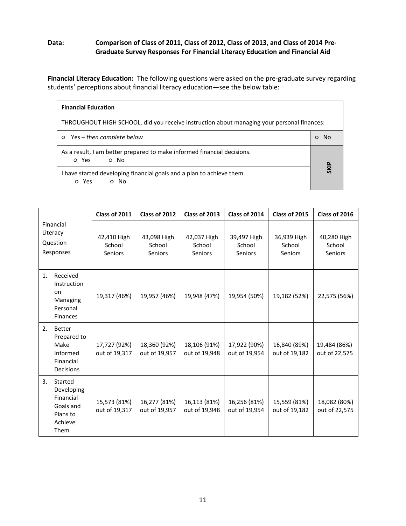### **Data: Comparison of Class of 2011, Class of 2012, Class of 2013, and Class of 2014 Pre-Graduate Survey Responses For Financial Literacy Education and Financial Aid**

**Financial Literacy Education:** The following questions were asked on the pre-graduate survey regarding students' perceptions about financial literacy education—see the below table:

| <b>Financial Education</b>                                                                 |  |  |  |
|--------------------------------------------------------------------------------------------|--|--|--|
| THROUGHOUT HIGH SCHOOL, did you receive instruction about managing your personal finances: |  |  |  |
| Yes – then complete below<br>$\circ$                                                       |  |  |  |
| As a result, I am better prepared to make informed financial decisions.<br>o Yes<br>o No   |  |  |  |
| I have started developing financial goals and a plan to achieve them.<br>o Yes<br>o No     |  |  |  |

|                                                                                         | Class of 2011                    | Class of 2012                    | Class of 2013                    | Class of 2014                    | Class of 2015                    | Class of 2016                    |
|-----------------------------------------------------------------------------------------|----------------------------------|----------------------------------|----------------------------------|----------------------------------|----------------------------------|----------------------------------|
| Financial<br>Literacy<br>Question<br>Responses                                          | 42,410 High<br>School<br>Seniors | 43,098 High<br>School<br>Seniors | 42,037 High<br>School<br>Seniors | 39,497 High<br>School<br>Seniors | 36,939 High<br>School<br>Seniors | 40,280 High<br>School<br>Seniors |
| Received<br>1.<br>Instruction<br>on<br>Managing<br>Personal<br><b>Finances</b>          | 19,317 (46%)                     | 19,957 (46%)                     | 19,948 (47%)                     | 19,954 (50%)                     | 19,182 (52%)                     | 22,575 (56%)                     |
| 2.<br><b>Better</b><br>Prepared to<br>Make<br>Informed<br>Financial<br><b>Decisions</b> | 17,727 (92%)<br>out of 19,317    | 18,360 (92%)<br>out of 19,957    | 18,106 (91%)<br>out of 19,948    | 17,922 (90%)<br>out of 19,954    | 16,840 (89%)<br>out of 19,182    | 19,484 (86%)<br>out of 22,575    |
| 3.<br>Started<br>Developing<br>Financial<br>Goals and<br>Plans to<br>Achieve<br>Them    | 15,573 (81%)<br>out of 19,317    | 16,277 (81%)<br>out of 19,957    | 16,113 (81%)<br>out of 19,948    | 16,256 (81%)<br>out of 19,954    | 15,559 (81%)<br>out of 19,182    | 18,082 (80%)<br>out of 22,575    |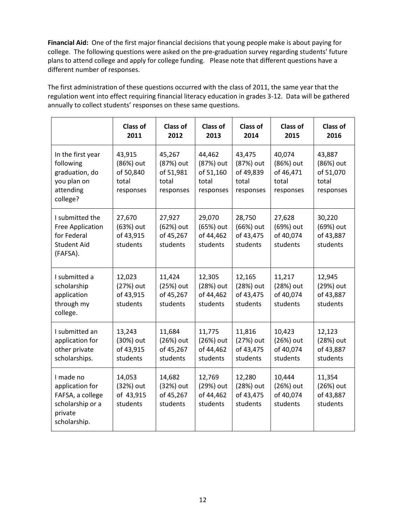**Financial Aid:** One of the first major financial decisions that young people make is about paying for college. The following questions were asked on the pre-graduation survey regarding students' future plans to attend college and apply for college funding. Please note that different questions have a different number of responses.

The first administration of these questions occurred with the class of 2011, the same year that the regulation went into effect requiring financial literacy education in grades 3-12. Data will be gathered annually to collect students' responses on these same questions.

|                                                                                                 | <b>Class of</b><br>2011                                | <b>Class of</b><br>2012                                | Class of<br>2013                                       | <b>Class of</b><br>2014                                | <b>Class of</b><br>2015                                | <b>Class of</b><br>2016                                |
|-------------------------------------------------------------------------------------------------|--------------------------------------------------------|--------------------------------------------------------|--------------------------------------------------------|--------------------------------------------------------|--------------------------------------------------------|--------------------------------------------------------|
| In the first year<br>following<br>graduation, do<br>you plan on<br>attending<br>college?        | 43,915<br>(86%) out<br>of 50,840<br>total<br>responses | 45,267<br>(87%) out<br>of 51,981<br>total<br>responses | 44,462<br>(87%) out<br>of 51,160<br>total<br>responses | 43,475<br>(87%) out<br>of 49,839<br>total<br>responses | 40,074<br>(86%) out<br>of 46,471<br>total<br>responses | 43,887<br>(86%) out<br>of 51,070<br>total<br>responses |
| I submitted the<br>Free Application<br>for Federal<br><b>Student Aid</b><br>(FAFSA).            | 27,670<br>(63%) out<br>of 43,915<br>students           | 27,927<br>(62%) out<br>of 45,267<br>students           | 29,070<br>(65%) out<br>of 44,462<br>students           | 28,750<br>(66%) out<br>of 43,475<br>students           | 27,628<br>(69%) out<br>of 40,074<br>students           | 30,220<br>(69%) out<br>of 43,887<br>students           |
| I submitted a<br>scholarship<br>application<br>through my<br>college.                           | 12,023<br>(27%) out<br>of 43,915<br>students           | 11,424<br>(25%) out<br>of 45,267<br>students           | 12,305<br>(28%) out<br>of 44,462<br>students           | 12,165<br>(28%) out<br>of 43,475<br>students           | 11,217<br>(28%) out<br>of 40,074<br>students           | 12,945<br>(29%) out<br>of 43,887<br>students           |
| I submitted an<br>application for<br>other private<br>scholarships.                             | 13,243<br>(30%) out<br>of 43,915<br>students           | 11,684<br>(26%) out<br>of 45,267<br>students           | 11,775<br>(26%) out<br>of 44,462<br>students           | 11,816<br>(27%) out<br>of 43,475<br>students           | 10,423<br>(26%) out<br>of 40,074<br>students           | 12,123<br>(28%) out<br>of 43,887<br>students           |
| I made no<br>application for<br>FAFSA, a college<br>scholarship or a<br>private<br>scholarship. | 14,053<br>(32%) out<br>of 43,915<br>students           | 14,682<br>(32%) out<br>of 45,267<br>students           | 12,769<br>(29%) out<br>of 44,462<br>students           | 12,280<br>(28%) out<br>of 43,475<br>students           | 10,444<br>(26%) out<br>of 40,074<br>students           | 11,354<br>(26%) out<br>of 43,887<br>students           |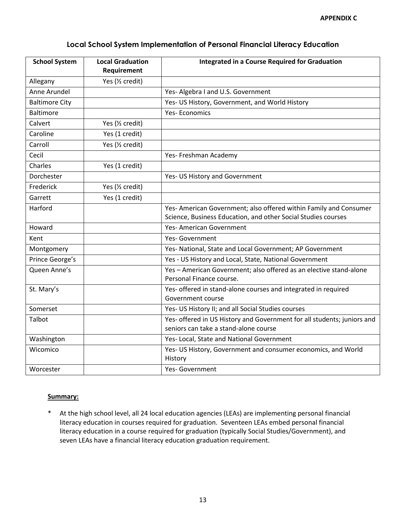| <b>School System</b>  | <b>Local Graduation</b> | <b>Integrated in a Course Required for Graduation</b>                                          |
|-----------------------|-------------------------|------------------------------------------------------------------------------------------------|
|                       | Requirement             |                                                                                                |
| Allegany              | Yes (1/2 credit)        |                                                                                                |
| Anne Arundel          |                         | Yes- Algebra I and U.S. Government                                                             |
| <b>Baltimore City</b> |                         | Yes- US History, Government, and World History                                                 |
| <b>Baltimore</b>      |                         | <b>Yes-Economics</b>                                                                           |
| Calvert               | Yes (1/2 credit)        |                                                                                                |
| Caroline              | Yes (1 credit)          |                                                                                                |
| Carroll               | Yes (1/2 credit)        |                                                                                                |
| Cecil                 |                         | Yes- Freshman Academy                                                                          |
| Charles               | Yes (1 credit)          |                                                                                                |
| Dorchester            |                         | Yes- US History and Government                                                                 |
| Frederick             | Yes (1/2 credit)        |                                                                                                |
| Garrett               | Yes (1 credit)          |                                                                                                |
| Harford               |                         | Yes- American Government; also offered within Family and Consumer                              |
|                       |                         | Science, Business Education, and other Social Studies courses                                  |
| Howard                |                         | <b>Yes-American Government</b>                                                                 |
| Kent                  |                         | Yes-Government                                                                                 |
| Montgomery            |                         | Yes- National, State and Local Government; AP Government                                       |
| Prince George's       |                         | Yes - US History and Local, State, National Government                                         |
| Queen Anne's          |                         | Yes - American Government; also offered as an elective stand-alone<br>Personal Finance course. |
| St. Mary's            |                         | Yes- offered in stand-alone courses and integrated in required<br>Government course            |
| Somerset              |                         | Yes- US History II; and all Social Studies courses                                             |
| Talbot                |                         | Yes- offered in US History and Government for all students; juniors and                        |
|                       |                         | seniors can take a stand-alone course                                                          |
| Washington            |                         | Yes- Local, State and National Government                                                      |
| Wicomico              |                         | Yes- US History, Government and consumer economics, and World<br>History                       |
| Worcester             |                         | Yes- Government                                                                                |

### **Summary:**

\* At the high school level, all 24 local education agencies (LEAs) are implementing personal financial literacy education in courses required for graduation. Seventeen LEAs embed personal financial literacy education in a course required for graduation (typically Social Studies/Government), and seven LEAs have a financial literacy education graduation requirement.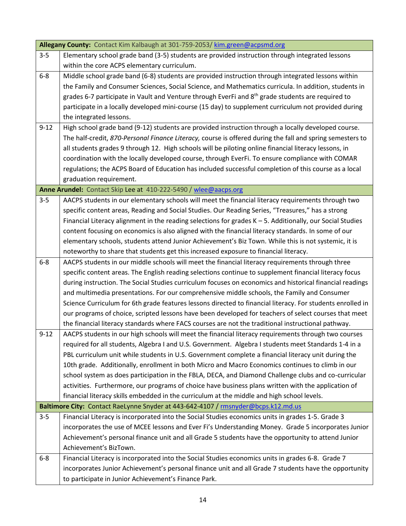|          | Allegany County: Contact Kim Kalbaugh at 301-759-2053/kim.green@acpsmd.org                                    |
|----------|---------------------------------------------------------------------------------------------------------------|
| $3 - 5$  | Elementary school grade band (3-5) students are provided instruction through integrated lessons               |
|          | within the core ACPS elementary curriculum.                                                                   |
| $6 - 8$  | Middle school grade band (6-8) students are provided instruction through integrated lessons within            |
|          | the Family and Consumer Sciences, Social Science, and Mathematics curricula. In addition, students in         |
|          | grades 6-7 participate in Vault and Venture through EverFi and 8 <sup>th</sup> grade students are required to |
|          | participate in a locally developed mini-course (15 day) to supplement curriculum not provided during          |
|          | the integrated lessons.                                                                                       |
| $9 - 12$ | High school grade band (9-12) students are provided instruction through a locally developed course.           |
|          | The half-credit, 870-Personal Finance Literacy, course is offered during the fall and spring semesters to     |
|          | all students grades 9 through 12. High schools will be piloting online financial literacy lessons, in         |
|          | coordination with the locally developed course, through EverFi. To ensure compliance with COMAR               |
|          | regulations; the ACPS Board of Education has included successful completion of this course as a local         |
|          | graduation requirement.                                                                                       |
|          | Anne Arundel: Contact Skip Lee at 410-222-5490 / wlee@aacps.org                                               |
| $3 - 5$  | AACPS students in our elementary schools will meet the financial literacy requirements through two            |
|          | specific content areas, Reading and Social Studies. Our Reading Series, "Treasures," has a strong             |
|          | Financial Literacy alignment in the reading selections for grades K - 5. Additionally, our Social Studies     |
|          | content focusing on economics is also aligned with the financial literacy standards. In some of our           |
|          | elementary schools, students attend Junior Achievement's Biz Town. While this is not systemic, it is          |
|          | noteworthy to share that students get this increased exposure to financial literacy.                          |
| $6 - 8$  | AACPS students in our middle schools will meet the financial literacy requirements through three              |
|          | specific content areas. The English reading selections continue to supplement financial literacy focus        |
|          | during instruction. The Social Studies curriculum focuses on economics and historical financial readings      |
|          | and multimedia presentations. For our comprehensive middle schools, the Family and Consumer                   |
|          | Science Curriculum for 6th grade features lessons directed to financial literacy. For students enrolled in    |
|          | our programs of choice, scripted lessons have been developed for teachers of select courses that meet         |
|          | the financial literacy standards where FACS courses are not the traditional instructional pathway.            |
| $9 - 12$ | AACPS students in our high schools will meet the financial literacy requirements through two courses          |
|          | required for all students, Algebra I and U.S. Government. Algebra I students meet Standards 1-4 in a          |
|          | PBL curriculum unit while students in U.S. Government complete a financial literacy unit during the           |
|          | 10th grade. Additionally, enrollment in both Micro and Macro Economics continues to climb in our              |
|          | school system as does participation in the FBLA, DECA, and Diamond Challenge clubs and co-curricular          |
|          | activities. Furthermore, our programs of choice have business plans written with the application of           |
|          | financial literacy skills embedded in the curriculum at the middle and high school levels.                    |
|          | Baltimore City: Contact RaeLynne Snyder at 443-642-4107 / rmsnyder@bcps.k12.md.us                             |
| $3 - 5$  | Financial Literacy is incorporated into the Social Studies economics units in grades 1-5. Grade 3             |
|          | incorporates the use of MCEE lessons and Ever Fi's Understanding Money. Grade 5 incorporates Junior           |
|          | Achievement's personal finance unit and all Grade 5 students have the opportunity to attend Junior            |
|          | Achievement's BizTown.                                                                                        |
| $6 - 8$  | Financial Literacy is incorporated into the Social Studies economics units in grades 6-8. Grade 7             |
|          | incorporates Junior Achievement's personal finance unit and all Grade 7 students have the opportunity         |
|          | to participate in Junior Achievement's Finance Park.                                                          |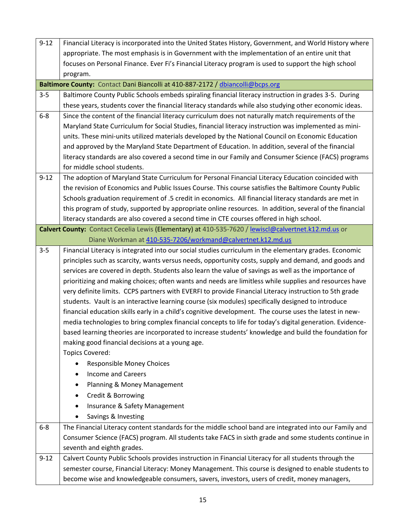| $9 - 12$ | Financial Literacy is incorporated into the United States History, Government, and World History where   |  |  |  |
|----------|----------------------------------------------------------------------------------------------------------|--|--|--|
|          | appropriate. The most emphasis is in Government with the implementation of an entire unit that           |  |  |  |
|          | focuses on Personal Finance. Ever Fi's Financial Literacy program is used to support the high school     |  |  |  |
|          | program.                                                                                                 |  |  |  |
|          | Baltimore County: Contact Dani Biancolli at 410-887-2172 / dbiancolli@bcps.org                           |  |  |  |
| $3 - 5$  | Baltimore County Public Schools embeds spiraling financial literacy instruction in grades 3-5. During    |  |  |  |
|          | these years, students cover the financial literacy standards while also studying other economic ideas.   |  |  |  |
| $6 - 8$  | Since the content of the financial literacy curriculum does not naturally match requirements of the      |  |  |  |
|          | Maryland State Curriculum for Social Studies, financial literacy instruction was implemented as mini-    |  |  |  |
|          | units. These mini-units utilized materials developed by the National Council on Economic Education       |  |  |  |
|          | and approved by the Maryland State Department of Education. In addition, several of the financial        |  |  |  |
|          | literacy standards are also covered a second time in our Family and Consumer Science (FACS) programs     |  |  |  |
|          | for middle school students.                                                                              |  |  |  |
| $9 - 12$ | The adoption of Maryland State Curriculum for Personal Financial Literacy Education coincided with       |  |  |  |
|          | the revision of Economics and Public Issues Course. This course satisfies the Baltimore County Public    |  |  |  |
|          | Schools graduation requirement of .5 credit in economics. All financial literacy standards are met in    |  |  |  |
|          | this program of study, supported by appropriate online resources. In addition, several of the financial  |  |  |  |
|          | literacy standards are also covered a second time in CTE courses offered in high school.                 |  |  |  |
|          | Calvert County: Contact Cecelia Lewis (Elementary) at 410-535-7620 / lewiscl@calvertnet.k12.md.us or     |  |  |  |
|          | Diane Workman at 410-535-7206/workmand@calvertnet.k12.md.us                                              |  |  |  |
| $3 - 5$  | Financial Literacy is integrated into our social studies curriculum in the elementary grades. Economic   |  |  |  |
|          | principles such as scarcity, wants versus needs, opportunity costs, supply and demand, and goods and     |  |  |  |
|          | services are covered in depth. Students also learn the value of savings as well as the importance of     |  |  |  |
|          | prioritizing and making choices; often wants and needs are limitless while supplies and resources have   |  |  |  |
|          | very definite limits. CCPS partners with EVERFI to provide Financial Literacy instruction to 5th grade   |  |  |  |
|          | students. Vault is an interactive learning course (six modules) specifically designed to introduce       |  |  |  |
|          | financial education skills early in a child's cognitive development. The course uses the latest in new-  |  |  |  |
|          | media technologies to bring complex financial concepts to life for today's digital generation. Evidence- |  |  |  |
|          | based learning theories are incorporated to increase students' knowledge and build the foundation for    |  |  |  |
|          | making good financial decisions at a young age.                                                          |  |  |  |
|          | <b>Topics Covered:</b>                                                                                   |  |  |  |
|          | <b>Responsible Money Choices</b>                                                                         |  |  |  |
|          | <b>Income and Careers</b>                                                                                |  |  |  |
|          | Planning & Money Management                                                                              |  |  |  |
|          | Credit & Borrowing<br>٠                                                                                  |  |  |  |
|          | Insurance & Safety Management                                                                            |  |  |  |
|          | Savings & Investing                                                                                      |  |  |  |
| $6-8$    | The Financial Literacy content standards for the middle school band are integrated into our Family and   |  |  |  |
|          | Consumer Science (FACS) program. All students take FACS in sixth grade and some students continue in     |  |  |  |
|          | seventh and eighth grades.                                                                               |  |  |  |
| $9 - 12$ | Calvert County Public Schools provides instruction in Financial Literacy for all students through the    |  |  |  |
|          | semester course, Financial Literacy: Money Management. This course is designed to enable students to     |  |  |  |
|          | become wise and knowledgeable consumers, savers, investors, users of credit, money managers,             |  |  |  |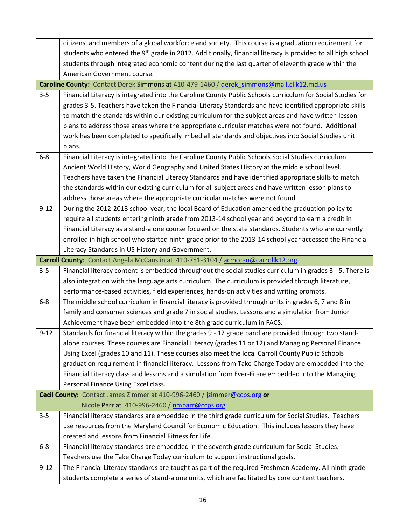|          | citizens, and members of a global workforce and society. This course is a graduation requirement for                                                                            |  |  |  |
|----------|---------------------------------------------------------------------------------------------------------------------------------------------------------------------------------|--|--|--|
|          | students who entered the 9 <sup>th</sup> grade in 2012. Additionally, financial literacy is provided to all high school                                                         |  |  |  |
|          | students through integrated economic content during the last quarter of eleventh grade within the                                                                               |  |  |  |
|          | American Government course.                                                                                                                                                     |  |  |  |
|          | Caroline County: Contact Derek Simmons at 410-479-1460 / derek simmons@mail.cl.k12.md.us                                                                                        |  |  |  |
| $3 - 5$  | Financial Literacy is integrated into the Caroline County Public Schools curriculum for Social Studies for                                                                      |  |  |  |
|          | grades 3-5. Teachers have taken the Financial Literacy Standards and have identified appropriate skills                                                                         |  |  |  |
|          | to match the standards within our existing curriculum for the subject areas and have written lesson                                                                             |  |  |  |
|          | plans to address those areas where the appropriate curricular matches were not found. Additional                                                                                |  |  |  |
|          | work has been completed to specifically imbed all standards and objectives into Social Studies unit                                                                             |  |  |  |
|          | plans.                                                                                                                                                                          |  |  |  |
| $6 - 8$  | Financial Literacy is integrated into the Caroline County Public Schools Social Studies curriculum                                                                              |  |  |  |
|          | Ancient World History, World Geography and United States History at the middle school level.                                                                                    |  |  |  |
|          | Teachers have taken the Financial Literacy Standards and have identified appropriate skills to match                                                                            |  |  |  |
|          | the standards within our existing curriculum for all subject areas and have written lesson plans to                                                                             |  |  |  |
| $9 - 12$ | address those areas where the appropriate curricular matches were not found.<br>During the 2012-2013 school year, the local Board of Education amended the graduation policy to |  |  |  |
|          | require all students entering ninth grade from 2013-14 school year and beyond to earn a credit in                                                                               |  |  |  |
|          | Financial Literacy as a stand-alone course focused on the state standards. Students who are currently                                                                           |  |  |  |
|          | enrolled in high school who started ninth grade prior to the 2013-14 school year accessed the Financial                                                                         |  |  |  |
|          | Literacy Standards in US History and Government.                                                                                                                                |  |  |  |
|          | Carroll County: Contact Angela McCauslin at 410-751-3104 / acmccau@carrollk12.org                                                                                               |  |  |  |
| $3 - 5$  | Financial literacy content is embedded throughout the social studies curriculum in grades 3 - 5. There is                                                                       |  |  |  |
|          | also integration with the language arts curriculum. The curriculum is provided through literature,                                                                              |  |  |  |
|          | performance-based activities, field experiences, hands-on activities and writing prompts.                                                                                       |  |  |  |
| $6 - 8$  | The middle school curriculum in financial literacy is provided through units in grades 6, 7 and 8 in                                                                            |  |  |  |
|          | family and consumer sciences and grade 7 in social studies. Lessons and a simulation from Junior                                                                                |  |  |  |
|          | Achievement have been embedded into the 8th grade curriculum in FACS.                                                                                                           |  |  |  |
| $9 - 12$ | Standards for financial literacy within the grades 9 - 12 grade band are provided through two stand-                                                                            |  |  |  |
|          | alone courses. These courses are Financial Literacy (grades 11 or 12) and Managing Personal Finance                                                                             |  |  |  |
|          | Using Excel (grades 10 and 11). These courses also meet the local Carroll County Public Schools                                                                                 |  |  |  |
|          | graduation requirement in financial literacy. Lessons from Take Charge Today are embedded into the                                                                              |  |  |  |
|          | Financial Literacy class and lessons and a simulation from Ever-Fi are embedded into the Managing                                                                               |  |  |  |
|          | Personal Finance Using Excel class.                                                                                                                                             |  |  |  |
|          | Cecil County: Contact James Zimmer at 410-996-2460 / jzimmer@ccps.org or                                                                                                        |  |  |  |
|          | Nicole Parr at 410-996-2460 / nmparr@ccps.org                                                                                                                                   |  |  |  |
| $3 - 5$  | Financial literacy standards are embedded in the third grade curriculum for Social Studies. Teachers                                                                            |  |  |  |
|          | use resources from the Maryland Council for Economic Education. This includes lessons they have                                                                                 |  |  |  |
|          | created and lessons from Financial Fitness for Life                                                                                                                             |  |  |  |
| $6 - 8$  | Financial literacy standards are embedded in the seventh grade curriculum for Social Studies.                                                                                   |  |  |  |
|          | Teachers use the Take Charge Today curriculum to support instructional goals.                                                                                                   |  |  |  |
| $9 - 12$ | The Financial Literacy standards are taught as part of the required Freshman Academy. All ninth grade                                                                           |  |  |  |
|          | students complete a series of stand-alone units, which are facilitated by core content teachers.                                                                                |  |  |  |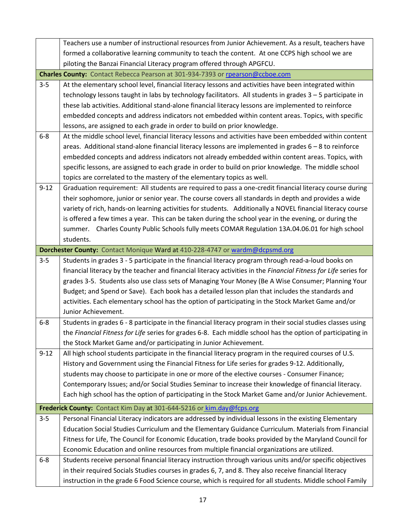|          | Teachers use a number of instructional resources from Junior Achievement. As a result, teachers have             |  |  |  |  |  |
|----------|------------------------------------------------------------------------------------------------------------------|--|--|--|--|--|
|          | formed a collaborative learning community to teach the content. At one CCPS high school we are                   |  |  |  |  |  |
|          | piloting the Banzai Financial Literacy program offered through APGFCU.                                           |  |  |  |  |  |
|          | Charles County: Contact Rebecca Pearson at 301-934-7393 or rpearson@ccboe.com                                    |  |  |  |  |  |
| $3 - 5$  | At the elementary school level, financial literacy lessons and activities have been integrated within            |  |  |  |  |  |
|          | technology lessons taught in labs by technology facilitators. All students in grades 3 - 5 participate in        |  |  |  |  |  |
|          | these lab activities. Additional stand-alone financial literacy lessons are implemented to reinforce             |  |  |  |  |  |
|          | embedded concepts and address indicators not embedded within content areas. Topics, with specific                |  |  |  |  |  |
|          | lessons, are assigned to each grade in order to build on prior knowledge.                                        |  |  |  |  |  |
| $6 - 8$  | At the middle school level, financial literacy lessons and activities have been embedded within content          |  |  |  |  |  |
|          | areas. Additional stand-alone financial literacy lessons are implemented in grades $6 - 8$ to reinforce          |  |  |  |  |  |
|          | embedded concepts and address indicators not already embedded within content areas. Topics, with                 |  |  |  |  |  |
|          | specific lessons, are assigned to each grade in order to build on prior knowledge. The middle school             |  |  |  |  |  |
|          | topics are correlated to the mastery of the elementary topics as well.                                           |  |  |  |  |  |
| $9 - 12$ | Graduation requirement: All students are required to pass a one-credit financial literacy course during          |  |  |  |  |  |
|          | their sophomore, junior or senior year. The course covers all standards in depth and provides a wide             |  |  |  |  |  |
|          | variety of rich, hands-on learning activities for students. Additionally a NOVEL financial literacy course       |  |  |  |  |  |
|          | is offered a few times a year. This can be taken during the school year in the evening, or during the            |  |  |  |  |  |
|          | summer. Charles County Public Schools fully meets COMAR Regulation 13A.04.06.01 for high school                  |  |  |  |  |  |
|          | students.                                                                                                        |  |  |  |  |  |
|          | Dorchester County: Contact Monique Ward at 410-228-4747 or wardm@dcpsmd.org                                      |  |  |  |  |  |
| $3 - 5$  | Students in grades 3 - 5 participate in the financial literacy program through read-a-loud books on              |  |  |  |  |  |
|          |                                                                                                                  |  |  |  |  |  |
|          | financial literacy by the teacher and financial literacy activities in the Financial Fitness for Life series for |  |  |  |  |  |
|          | grades 3-5. Students also use class sets of Managing Your Money (Be A Wise Consumer; Planning Your               |  |  |  |  |  |
|          | Budget; and Spend or Save). Each book has a detailed lesson plan that includes the standards and                 |  |  |  |  |  |
|          | activities. Each elementary school has the option of participating in the Stock Market Game and/or               |  |  |  |  |  |
|          | Junior Achievement.                                                                                              |  |  |  |  |  |
| $6 - 8$  | Students in grades 6 - 8 participate in the financial literacy program in their social studies classes using     |  |  |  |  |  |
|          | the Financial Fitness for Life series for grades 6-8. Each middle school has the option of participating in      |  |  |  |  |  |
|          | the Stock Market Game and/or participating in Junior Achievement.                                                |  |  |  |  |  |
| $9 - 12$ | All high school students participate in the financial literacy program in the required courses of U.S.           |  |  |  |  |  |
|          | History and Government using the Financial Fitness for Life series for grades 9-12. Additionally,                |  |  |  |  |  |
|          | students may choose to participate in one or more of the elective courses - Consumer Finance;                    |  |  |  |  |  |
|          | Contemporary Issues; and/or Social Studies Seminar to increase their knowledge of financial literacy.            |  |  |  |  |  |
|          | Each high school has the option of participating in the Stock Market Game and/or Junior Achievement.             |  |  |  |  |  |
|          | Frederick County: Contact Kim Day at 301-644-5216 or kim.day@fcps.org                                            |  |  |  |  |  |
| $3 - 5$  | Personal Financial Literacy indicators are addressed by individual lessons in the existing Elementary            |  |  |  |  |  |
|          | Education Social Studies Curriculum and the Elementary Guidance Curriculum. Materials from Financial             |  |  |  |  |  |
|          | Fitness for Life, The Council for Economic Education, trade books provided by the Maryland Council for           |  |  |  |  |  |
|          | Economic Education and online resources from multiple financial organizations are utilized.                      |  |  |  |  |  |
| $6 - 8$  | Students receive personal financial literacy instruction through various units and/or specific objectives        |  |  |  |  |  |
|          | in their required Socials Studies courses in grades 6, 7, and 8. They also receive financial literacy            |  |  |  |  |  |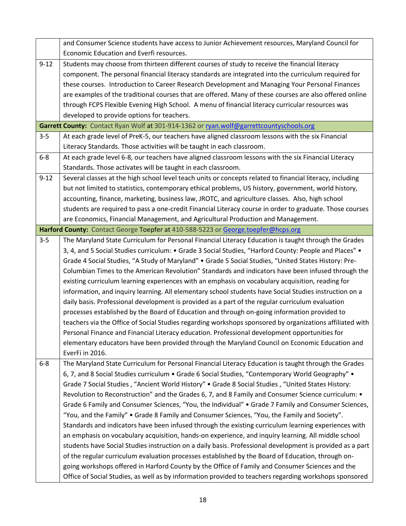|          | and Consumer Science students have access to Junior Achievement resources, Maryland Council for           |  |  |  |  |  |
|----------|-----------------------------------------------------------------------------------------------------------|--|--|--|--|--|
|          | Economic Education and Everfi resources.                                                                  |  |  |  |  |  |
| $9 - 12$ | Students may choose from thirteen different courses of study to receive the financial literacy            |  |  |  |  |  |
|          | component. The personal financial literacy standards are integrated into the curriculum required for      |  |  |  |  |  |
|          | these courses. Introduction to Career Research Development and Managing Your Personal Finances            |  |  |  |  |  |
|          | are examples of the traditional courses that are offered. Many of these courses are also offered online   |  |  |  |  |  |
|          | through FCPS Flexible Evening High School. A menu of financial literacy curricular resources was          |  |  |  |  |  |
|          | developed to provide options for teachers.                                                                |  |  |  |  |  |
|          | Garrett County: Contact Ryan Wolf at 301-914-1362 or ryan.wolf@garrettcountyschools.org                   |  |  |  |  |  |
| $3 - 5$  | At each grade level of PreK-5, our teachers have aligned classroom lessons with the six Financial         |  |  |  |  |  |
|          | Literacy Standards. Those activities will be taught in each classroom.                                    |  |  |  |  |  |
| $6 - 8$  | At each grade level 6-8, our teachers have aligned classroom lessons with the six Financial Literacy      |  |  |  |  |  |
|          | Standards. Those activates will be taught in each classroom.                                              |  |  |  |  |  |
| $9 - 12$ | Several classes at the high school level teach units or concepts related to financial literacy, including |  |  |  |  |  |
|          | but not limited to statistics, contemporary ethical problems, US history, government, world history,      |  |  |  |  |  |
|          | accounting, finance, marketing, business law, JROTC, and agriculture classes. Also, high school           |  |  |  |  |  |
|          | students are required to pass a one-credit Financial Literacy course in order to graduate. Those courses  |  |  |  |  |  |
|          | are Economics, Financial Management, and Agricultural Production and Management.                          |  |  |  |  |  |
|          | Harford County: Contact George Toepfer at 410-588-5223 or George.toepfer@hcps.org                         |  |  |  |  |  |
| $3 - 5$  | The Maryland State Curriculum for Personal Financial Literacy Education is taught through the Grades      |  |  |  |  |  |
|          | 4, 3, 4, and 5 Social Studies curriculum: • Grade 3 Social Studies, "Harford County: People and Places" • |  |  |  |  |  |
|          | Grade 4 Social Studies, "A Study of Maryland" • Grade 5 Social Studies, "United States History: Pre-      |  |  |  |  |  |
|          | Columbian Times to the American Revolution" Standards and indicators have been infused through the        |  |  |  |  |  |
|          | existing curriculum learning experiences with an emphasis on vocabulary acquisition, reading for          |  |  |  |  |  |
|          | information, and inquiry learning. All elementary school students have Social Studies instruction on a    |  |  |  |  |  |
|          | daily basis. Professional development is provided as a part of the regular curriculum evaluation          |  |  |  |  |  |
|          | processes established by the Board of Education and through on-going information provided to              |  |  |  |  |  |
|          | teachers via the Office of Social Studies regarding workshops sponsored by organizations affiliated with  |  |  |  |  |  |
|          | Personal Finance and Financial Literacy education. Professional development opportunities for             |  |  |  |  |  |
|          | elementary educators have been provided through the Maryland Council on Economic Education and            |  |  |  |  |  |
|          | EverFi in 2016.                                                                                           |  |  |  |  |  |
| $6 - 8$  | The Maryland State Curriculum for Personal Financial Literacy Education is taught through the Grades      |  |  |  |  |  |
|          | 6, 7, and 8 Social Studies curriculum • Grade 6 Social Studies, "Contemporary World Geography" •          |  |  |  |  |  |
|          | Grade 7 Social Studies, "Ancient World History" • Grade 8 Social Studies, "United States History:         |  |  |  |  |  |
|          | Revolution to Reconstruction" and the Grades 6, 7, and 8 Family and Consumer Science curriculum: •        |  |  |  |  |  |
|          | Grade 6 Family and Consumer Sciences, "You, the Individual" • Grade 7 Family and Consumer Sciences,       |  |  |  |  |  |
|          | "You, and the Family" • Grade 8 Family and Consumer Sciences, "You, the Family and Society".              |  |  |  |  |  |
|          | Standards and indicators have been infused through the existing curriculum learning experiences with      |  |  |  |  |  |
|          | an emphasis on vocabulary acquisition, hands-on experience, and inquiry learning. All middle school       |  |  |  |  |  |
|          | students have Social Studies instruction on a daily basis. Professional development is provided as a part |  |  |  |  |  |
|          | of the regular curriculum evaluation processes established by the Board of Education, through on-         |  |  |  |  |  |
|          | going workshops offered in Harford County by the Office of Family and Consumer Sciences and the           |  |  |  |  |  |
|          | Office of Social Studies, as well as by information provided to teachers regarding workshops sponsored    |  |  |  |  |  |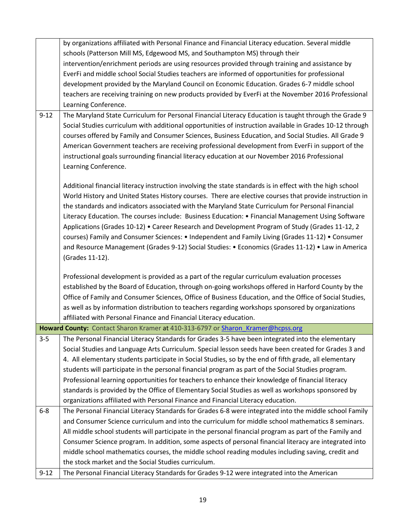|          | by organizations affiliated with Personal Finance and Financial Literacy education. Several middle        |  |  |  |  |  |
|----------|-----------------------------------------------------------------------------------------------------------|--|--|--|--|--|
|          | schools (Patterson Mill MS, Edgewood MS, and Southampton MS) through their                                |  |  |  |  |  |
|          | intervention/enrichment periods are using resources provided through training and assistance by           |  |  |  |  |  |
|          | EverFi and middle school Social Studies teachers are informed of opportunities for professional           |  |  |  |  |  |
|          | development provided by the Maryland Council on Economic Education. Grades 6-7 middle school              |  |  |  |  |  |
|          | teachers are receiving training on new products provided by EverFi at the November 2016 Professional      |  |  |  |  |  |
|          | Learning Conference.                                                                                      |  |  |  |  |  |
| $9 - 12$ | The Maryland State Curriculum for Personal Financial Literacy Education is taught through the Grade 9     |  |  |  |  |  |
|          | Social Studies curriculum with additional opportunities of instruction available in Grades 10-12 through  |  |  |  |  |  |
|          | courses offered by Family and Consumer Sciences, Business Education, and Social Studies. All Grade 9      |  |  |  |  |  |
|          | American Government teachers are receiving professional development from EverFi in support of the         |  |  |  |  |  |
|          | instructional goals surrounding financial literacy education at our November 2016 Professional            |  |  |  |  |  |
|          | Learning Conference.                                                                                      |  |  |  |  |  |
|          |                                                                                                           |  |  |  |  |  |
|          | Additional financial literacy instruction involving the state standards is in effect with the high school |  |  |  |  |  |
|          | World History and United States History courses. There are elective courses that provide instruction in   |  |  |  |  |  |
|          | the standards and indicators associated with the Maryland State Curriculum for Personal Financial         |  |  |  |  |  |
|          | Literacy Education. The courses include: Business Education: • Financial Management Using Software        |  |  |  |  |  |
|          | Applications (Grades 10-12) • Career Research and Development Program of Study (Grades 11-12, 2           |  |  |  |  |  |
|          | courses) Family and Consumer Sciences: • Independent and Family Living (Grades 11-12) • Consumer          |  |  |  |  |  |
|          | and Resource Management (Grades 9-12) Social Studies: • Economics (Grades 11-12) • Law in America         |  |  |  |  |  |
|          | (Grades 11-12).                                                                                           |  |  |  |  |  |
|          |                                                                                                           |  |  |  |  |  |
|          | Professional development is provided as a part of the regular curriculum evaluation processes             |  |  |  |  |  |
|          | established by the Board of Education, through on-going workshops offered in Harford County by the        |  |  |  |  |  |
|          | Office of Family and Consumer Sciences, Office of Business Education, and the Office of Social Studies,   |  |  |  |  |  |
|          | as well as by information distribution to teachers regarding workshops sponsored by organizations         |  |  |  |  |  |
|          | affiliated with Personal Finance and Financial Literacy education.                                        |  |  |  |  |  |
|          | Howard County: Contact Sharon Kramer at 410-313-6797 or Sharon Kramer@hcpss.org                           |  |  |  |  |  |
| $3 - 5$  | The Personal Financial Literacy Standards for Grades 3-5 have been integrated into the elementary         |  |  |  |  |  |
|          | Social Studies and Language Arts Curriculum. Special lesson seeds have been created for Grades 3 and      |  |  |  |  |  |
|          | 4. All elementary students participate in Social Studies, so by the end of fifth grade, all elementary    |  |  |  |  |  |
|          | students will participate in the personal financial program as part of the Social Studies program.        |  |  |  |  |  |
|          | Professional learning opportunities for teachers to enhance their knowledge of financial literacy         |  |  |  |  |  |
|          | standards is provided by the Office of Elementary Social Studies as well as workshops sponsored by        |  |  |  |  |  |
|          |                                                                                                           |  |  |  |  |  |
|          | organizations affiliated with Personal Finance and Financial Literacy education.                          |  |  |  |  |  |
| $6 - 8$  | The Personal Financial Literacy Standards for Grades 6-8 were integrated into the middle school Family    |  |  |  |  |  |
|          | and Consumer Science curriculum and into the curriculum for middle school mathematics 8 seminars.         |  |  |  |  |  |
|          | All middle school students will participate in the personal financial program as part of the Family and   |  |  |  |  |  |
|          | Consumer Science program. In addition, some aspects of personal financial literacy are integrated into    |  |  |  |  |  |
|          | middle school mathematics courses, the middle school reading modules including saving, credit and         |  |  |  |  |  |
|          | the stock market and the Social Studies curriculum.                                                       |  |  |  |  |  |
| $9 - 12$ | The Personal Financial Literacy Standards for Grades 9-12 were integrated into the American               |  |  |  |  |  |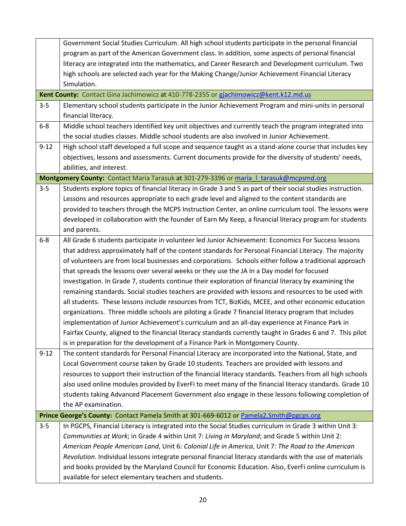|                                                                                         | Government Social Studies Curriculum. All high school students participate in the personal financial        |  |  |  |
|-----------------------------------------------------------------------------------------|-------------------------------------------------------------------------------------------------------------|--|--|--|
|                                                                                         | program as part of the American Government class. In addition, some aspects of personal financial           |  |  |  |
|                                                                                         | literacy are integrated into the mathematics, and Career Research and Development curriculum. Two           |  |  |  |
|                                                                                         | high schools are selected each year for the Making Change/Junior Achievement Financial Literacy             |  |  |  |
|                                                                                         | Simulation.                                                                                                 |  |  |  |
|                                                                                         | Kent County: Contact Gina Jachimowicz at 410-778-2355 or gjachimowicz@kent.k12.md.us                        |  |  |  |
| $3 - 5$                                                                                 | Elementary school students participate in the Junior Achievement Program and mini-units in personal         |  |  |  |
|                                                                                         | financial literacy.                                                                                         |  |  |  |
| $6-8$                                                                                   | Middle school teachers identified key unit objectives and currently teach the program integrated into       |  |  |  |
|                                                                                         | the social studies classes. Middle school students are also involved in Junior Achievement.                 |  |  |  |
| $9 - 12$                                                                                | High school staff developed a full scope and sequence taught as a stand-alone course that includes key      |  |  |  |
|                                                                                         | objectives, lessons and assessments. Current documents provide for the diversity of students' needs,        |  |  |  |
|                                                                                         | abilities, and interest.                                                                                    |  |  |  |
|                                                                                         | Montgomery County: Contact Maria Tarasuk at 301-279-3396 or maria 1 tarasuk@mcpsmd.org                      |  |  |  |
| $3 - 5$                                                                                 | Students explore topics of financial literacy in Grade 3 and 5 as part of their social studies instruction. |  |  |  |
|                                                                                         | Lessons and resources appropriate to each grade level and aligned to the content standards are              |  |  |  |
|                                                                                         | provided to teachers through the MCPS Instruction Center, an online curriculum tool. The lessons were       |  |  |  |
|                                                                                         | developed in collaboration with the founder of Earn My Keep, a financial literacy program for students      |  |  |  |
| and parents.                                                                            |                                                                                                             |  |  |  |
| $6 - 8$                                                                                 | All Grade 6 students participate in volunteer led Junior Achievement: Economics For Success lessons         |  |  |  |
|                                                                                         | that address approximately half of the content standards for Personal Financial Literacy. The majority      |  |  |  |
|                                                                                         | of volunteers are from local businesses and corporations. Schools either follow a traditional approach      |  |  |  |
|                                                                                         | that spreads the lessons over several weeks or they use the JA In a Day model for focused                   |  |  |  |
|                                                                                         | investigation. In Grade 7, students continue their exploration of financial literacy by examining the       |  |  |  |
|                                                                                         | remaining standards. Social studies teachers are provided with lessons and resources to be used with        |  |  |  |
|                                                                                         | all students. These lessons include resources from TCT, BizKids, MCEE, and other economic education         |  |  |  |
|                                                                                         | organizations. Three middle schools are piloting a Grade 7 financial literacy program that includes         |  |  |  |
|                                                                                         | implementation of Junior Achievement's curriculum and an all-day experience at Finance Park in              |  |  |  |
|                                                                                         | Fairfax County, aligned to the financial literacy standards currently taught in Grades 6 and 7. This pilot  |  |  |  |
|                                                                                         | is in preparation for the development of a Finance Park in Montgomery County.                               |  |  |  |
| $9 - 12$                                                                                | The content standards for Personal Financial Literacy are incorporated into the National, State, and        |  |  |  |
|                                                                                         | Local Government course taken by Grade 10 students. Teachers are provided with lessons and                  |  |  |  |
|                                                                                         | resources to support their instruction of the financial literacy standards. Teachers from all high schools  |  |  |  |
|                                                                                         | also used online modules provided by EverFi to meet many of the financial literacy standards. Grade 10      |  |  |  |
|                                                                                         | students taking Advanced Placement Government also engage in these lessons following completion of          |  |  |  |
|                                                                                         | the AP examination.                                                                                         |  |  |  |
| Prince George's County: Contact Pamela Smith at 301-669-6012 or Pamela2.Smith@pgcps.org |                                                                                                             |  |  |  |
| $3 - 5$                                                                                 | In PGCPS, Financial Literacy is integrated into the Social Studies curriculum in Grade 3 within Unit 3:     |  |  |  |
|                                                                                         | Communities at Work; in Grade 4 within Unit 7: Living in Maryland; and Grade 5 within Unit 2:               |  |  |  |
|                                                                                         | American People American Land, Unit 6: Colonial Life in America, Unit 7: The Road to the American           |  |  |  |
|                                                                                         | Revolution. Individual lessons integrate personal financial literacy standards with the use of materials    |  |  |  |
|                                                                                         | and books provided by the Maryland Council for Economic Education. Also, EverFi online curriculum is        |  |  |  |
|                                                                                         | available for select elementary teachers and students.                                                      |  |  |  |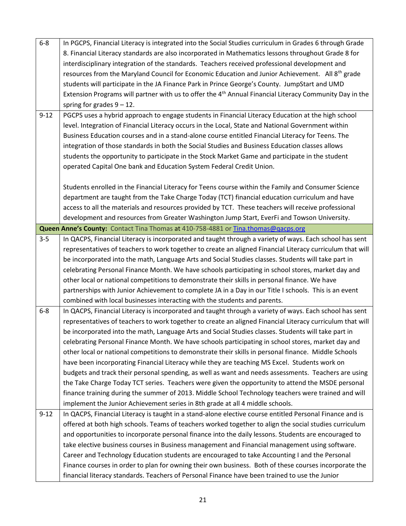| $6 - 8$  | In PGCPS, Financial Literacy is integrated into the Social Studies curriculum in Grades 6 through Grade             |  |  |  |  |
|----------|---------------------------------------------------------------------------------------------------------------------|--|--|--|--|
|          | 8. Financial Literacy standards are also incorporated in Mathematics lessons throughout Grade 8 for                 |  |  |  |  |
|          |                                                                                                                     |  |  |  |  |
|          | interdisciplinary integration of the standards. Teachers received professional development and                      |  |  |  |  |
|          | resources from the Maryland Council for Economic Education and Junior Achievement. All $8^{th}$ grade               |  |  |  |  |
|          | students will participate in the JA Finance Park in Prince George's County. JumpStart and UMD                       |  |  |  |  |
|          | Extension Programs will partner with us to offer the 4 <sup>th</sup> Annual Financial Literacy Community Day in the |  |  |  |  |
|          | spring for grades $9 - 12$ .                                                                                        |  |  |  |  |
| $9 - 12$ | PGCPS uses a hybrid approach to engage students in Financial Literacy Education at the high school                  |  |  |  |  |
|          | level. Integration of Financial Literacy occurs in the Local, State and National Government within                  |  |  |  |  |
|          | Business Education courses and in a stand-alone course entitled Financial Literacy for Teens. The                   |  |  |  |  |
|          | integration of those standards in both the Social Studies and Business Education classes allows                     |  |  |  |  |
|          | students the opportunity to participate in the Stock Market Game and participate in the student                     |  |  |  |  |
|          | operated Capital One bank and Education System Federal Credit Union.                                                |  |  |  |  |
|          |                                                                                                                     |  |  |  |  |
|          | Students enrolled in the Financial Literacy for Teens course within the Family and Consumer Science                 |  |  |  |  |
|          | department are taught from the Take Charge Today (TCT) financial education curriculum and have                      |  |  |  |  |
|          | access to all the materials and resources provided by TCT. These teachers will receive professional                 |  |  |  |  |
|          | development and resources from Greater Washington Jump Start, EverFi and Towson University.                         |  |  |  |  |
|          | Queen Anne's County: Contact Tina Thomas at 410-758-4881 or Tina.thomas@gacps.org                                   |  |  |  |  |
| $3 - 5$  | In QACPS, Financial Literacy is incorporated and taught through a variety of ways. Each school has sent             |  |  |  |  |
|          | representatives of teachers to work together to create an aligned Financial Literacy curriculum that will           |  |  |  |  |
|          | be incorporated into the math, Language Arts and Social Studies classes. Students will take part in                 |  |  |  |  |
|          | celebrating Personal Finance Month. We have schools participating in school stores, market day and                  |  |  |  |  |
|          | other local or national competitions to demonstrate their skills in personal finance. We have                       |  |  |  |  |
|          | partnerships with Junior Achievement to complete JA in a Day in our Title I schools. This is an event               |  |  |  |  |
|          | combined with local businesses interacting with the students and parents.                                           |  |  |  |  |
| $6 - 8$  | In QACPS, Financial Literacy is incorporated and taught through a variety of ways. Each school has sent             |  |  |  |  |
|          | representatives of teachers to work together to create an aligned Financial Literacy curriculum that will           |  |  |  |  |
|          | be incorporated into the math, Language Arts and Social Studies classes. Students will take part in                 |  |  |  |  |
|          | celebrating Personal Finance Month. We have schools participating in school stores, market day and                  |  |  |  |  |
|          | other local or national competitions to demonstrate their skills in personal finance. Middle Schools                |  |  |  |  |
|          | have been incorporating Financial Literacy while they are teaching MS Excel. Students work on                       |  |  |  |  |
|          |                                                                                                                     |  |  |  |  |
|          | budgets and track their personal spending, as well as want and needs assessments. Teachers are using                |  |  |  |  |
|          | the Take Charge Today TCT series. Teachers were given the opportunity to attend the MSDE personal                   |  |  |  |  |
|          | finance training during the summer of 2013. Middle School Technology teachers were trained and will                 |  |  |  |  |
|          | implement the Junior Achievement series in 8th grade at all 4 middle schools.                                       |  |  |  |  |
| $9 - 12$ | In QACPS, Financial Literacy is taught in a stand-alone elective course entitled Personal Finance and is            |  |  |  |  |
|          | offered at both high schools. Teams of teachers worked together to align the social studies curriculum              |  |  |  |  |
|          | and opportunities to incorporate personal finance into the daily lessons. Students are encouraged to                |  |  |  |  |
|          | take elective business courses in Business management and Financial management using software.                      |  |  |  |  |
|          | Career and Technology Education students are encouraged to take Accounting I and the Personal                       |  |  |  |  |
|          | Finance courses in order to plan for owning their own business. Both of these courses incorporate the               |  |  |  |  |
|          | financial literacy standards. Teachers of Personal Finance have been trained to use the Junior                      |  |  |  |  |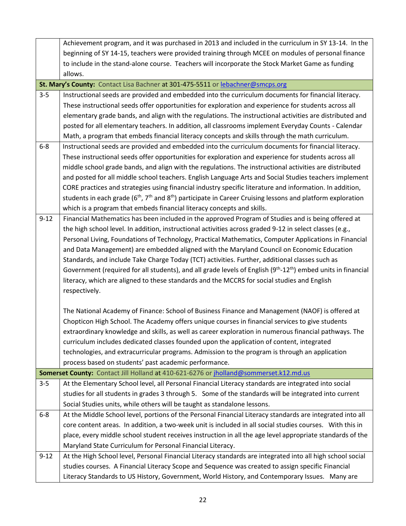|          | Achievement program, and it was purchased in 2013 and included in the curriculum in SY 13-14. In the                                            |  |  |  |  |
|----------|-------------------------------------------------------------------------------------------------------------------------------------------------|--|--|--|--|
|          | beginning of SY 14-15, teachers were provided training through MCEE on modules of personal finance                                              |  |  |  |  |
|          | to include in the stand-alone course. Teachers will incorporate the Stock Market Game as funding                                                |  |  |  |  |
|          | allows.                                                                                                                                         |  |  |  |  |
|          | St. Mary's County: Contact Lisa Bachner at 301-475-5511 or lebachner@smcps.org                                                                  |  |  |  |  |
| $3 - 5$  | Instructional seeds are provided and embedded into the curriculum documents for financial literacy.                                             |  |  |  |  |
|          | These instructional seeds offer opportunities for exploration and experience for students across all                                            |  |  |  |  |
|          | elementary grade bands, and align with the regulations. The instructional activities are distributed and                                        |  |  |  |  |
|          | posted for all elementary teachers. In addition, all classrooms implement Everyday Counts - Calendar                                            |  |  |  |  |
|          | Math, a program that embeds financial literacy concepts and skills through the math curriculum.                                                 |  |  |  |  |
| $6 - 8$  | Instructional seeds are provided and embedded into the curriculum documents for financial literacy.                                             |  |  |  |  |
|          | These instructional seeds offer opportunities for exploration and experience for students across all                                            |  |  |  |  |
|          | middle school grade bands, and align with the regulations. The instructional activities are distributed                                         |  |  |  |  |
|          | and posted for all middle school teachers. English Language Arts and Social Studies teachers implement                                          |  |  |  |  |
|          | CORE practices and strategies using financial industry specific literature and information. In addition,                                        |  |  |  |  |
|          | students in each grade (6 <sup>th</sup> , 7 <sup>th</sup> and 8 <sup>th</sup> ) participate in Career Cruising lessons and platform exploration |  |  |  |  |
|          | which is a program that embeds financial literacy concepts and skills.                                                                          |  |  |  |  |
| $9 - 12$ | Financial Mathematics has been included in the approved Program of Studies and is being offered at                                              |  |  |  |  |
|          | the high school level. In addition, instructional activities across graded 9-12 in select classes (e.g.,                                        |  |  |  |  |
|          | Personal Living, Foundations of Technology, Practical Mathematics, Computer Applications in Financial                                           |  |  |  |  |
|          | and Data Management) are embedded aligned with the Maryland Council on Economic Education                                                       |  |  |  |  |
|          | Standards, and include Take Charge Today (TCT) activities. Further, additional classes such as                                                  |  |  |  |  |
|          | Government (required for all students), and all grade levels of English (9 <sup>th</sup> -12 <sup>th</sup> ) embed units in financial           |  |  |  |  |
|          | literacy, which are aligned to these standards and the MCCRS for social studies and English                                                     |  |  |  |  |
|          | respectively.                                                                                                                                   |  |  |  |  |
|          |                                                                                                                                                 |  |  |  |  |
|          | The National Academy of Finance: School of Business Finance and Management (NAOF) is offered at                                                 |  |  |  |  |
|          | Chopticon High School. The Academy offers unique courses in financial services to give students                                                 |  |  |  |  |
|          | extraordinary knowledge and skills, as well as career exploration in numerous financial pathways. The                                           |  |  |  |  |
|          | curriculum includes dedicated classes founded upon the application of content, integrated                                                       |  |  |  |  |
|          | technologies, and extracurricular programs. Admission to the program is through an application                                                  |  |  |  |  |
|          | process based on students' past academic performance.                                                                                           |  |  |  |  |
|          | Somerset County: Contact Jill Holland at 410-621-6276 or jholland@sommerset.k12.md.us                                                           |  |  |  |  |
| $3 - 5$  | At the Elementary School level, all Personal Financial Literacy standards are integrated into social                                            |  |  |  |  |
|          | studies for all students in grades 3 through 5. Some of the standards will be integrated into current                                           |  |  |  |  |
|          | Social Studies units, while others will be taught as standalone lessons.                                                                        |  |  |  |  |
| $6 - 8$  | At the Middle School level, portions of the Personal Financial Literacy standards are integrated into all                                       |  |  |  |  |
|          | core content areas. In addition, a two-week unit is included in all social studies courses. With this in                                        |  |  |  |  |
|          | place, every middle school student receives instruction in all the age level appropriate standards of the                                       |  |  |  |  |
|          | Maryland State Curriculum for Personal Financial Literacy.                                                                                      |  |  |  |  |
| $9 - 12$ | At the High School level, Personal Financial Literacy standards are integrated into all high school social                                      |  |  |  |  |
|          | studies courses. A Financial Literacy Scope and Sequence was created to assign specific Financial                                               |  |  |  |  |
|          | Literacy Standards to US History, Government, World History, and Contemporary Issues. Many are                                                  |  |  |  |  |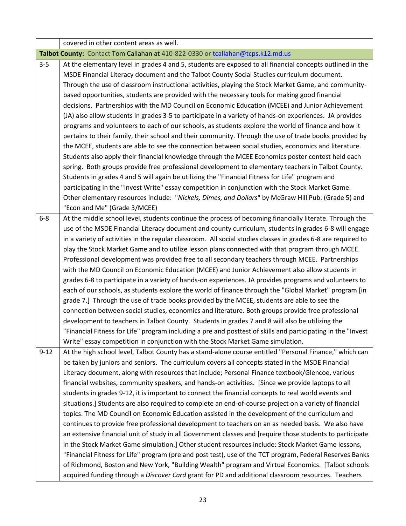|          | covered in other content areas as well.                                                                       |  |  |  |  |  |
|----------|---------------------------------------------------------------------------------------------------------------|--|--|--|--|--|
|          | Talbot County: Contact Tom Callahan at 410-822-0330 or tcallahan@tcps.k12.md.us                               |  |  |  |  |  |
| $3 - 5$  | At the elementary level in grades 4 and 5, students are exposed to all financial concepts outlined in the     |  |  |  |  |  |
|          | MSDE Financial Literacy document and the Talbot County Social Studies curriculum document.                    |  |  |  |  |  |
|          | Through the use of classroom instructional activities, playing the Stock Market Game, and community-          |  |  |  |  |  |
|          | based opportunities, students are provided with the necessary tools for making good financial                 |  |  |  |  |  |
|          | decisions. Partnerships with the MD Council on Economic Education (MCEE) and Junior Achievement               |  |  |  |  |  |
|          | (JA) also allow students in grades 3-5 to participate in a variety of hands-on experiences. JA provides       |  |  |  |  |  |
|          | programs and volunteers to each of our schools, as students explore the world of finance and how it           |  |  |  |  |  |
|          | pertains to their family, their school and their community. Through the use of trade books provided by        |  |  |  |  |  |
|          | the MCEE, students are able to see the connection between social studies, economics and literature.           |  |  |  |  |  |
|          | Students also apply their financial knowledge through the MCEE Economics poster contest held each             |  |  |  |  |  |
|          | spring. Both groups provide free professional development to elementary teachers in Talbot County.            |  |  |  |  |  |
|          | Students in grades 4 and 5 will again be utilizing the "Financial Fitness for Life" program and               |  |  |  |  |  |
|          | participating in the "Invest Write" essay competition in conjunction with the Stock Market Game.              |  |  |  |  |  |
|          | Other elementary resources include: "Nickels, Dimes, and Dollars" by McGraw Hill Pub. (Grade 5) and           |  |  |  |  |  |
|          | "Econ and Me" (Grade 3/MCEE)                                                                                  |  |  |  |  |  |
| $6 - 8$  | At the middle school level, students continue the process of becoming financially literate. Through the       |  |  |  |  |  |
|          | use of the MSDE Financial Literacy document and county curriculum, students in grades 6-8 will engage         |  |  |  |  |  |
|          | in a variety of activities in the regular classroom. All social studies classes in grades 6-8 are required to |  |  |  |  |  |
|          | play the Stock Market Game and to utilize lesson plans connected with that program through MCEE.              |  |  |  |  |  |
|          | Professional development was provided free to all secondary teachers through MCEE. Partnerships               |  |  |  |  |  |
|          | with the MD Council on Economic Education (MCEE) and Junior Achievement also allow students in                |  |  |  |  |  |
|          | grades 6-8 to participate in a variety of hands-on experiences. JA provides programs and volunteers to        |  |  |  |  |  |
|          | each of our schools, as students explore the world of finance through the "Global Market" program [in         |  |  |  |  |  |
|          | grade 7.] Through the use of trade books provided by the MCEE, students are able to see the                   |  |  |  |  |  |
|          | connection between social studies, economics and literature. Both groups provide free professional            |  |  |  |  |  |
|          | development to teachers in Talbot County. Students in grades 7 and 8 will also be utilizing the               |  |  |  |  |  |
|          | "Financial Fitness for Life" program including a pre and posttest of skills and participating in the "Invest  |  |  |  |  |  |
|          | Write" essay competition in conjunction with the Stock Market Game simulation.                                |  |  |  |  |  |
| $9 - 12$ | At the high school level, Talbot County has a stand-alone course entitled "Personal Finance," which can       |  |  |  |  |  |
|          | be taken by juniors and seniors. The curriculum covers all concepts stated in the MSDE Financial              |  |  |  |  |  |
|          | Literacy document, along with resources that include; Personal Finance textbook/Glencoe, various              |  |  |  |  |  |
|          | financial websites, community speakers, and hands-on activities. [Since we provide laptops to all             |  |  |  |  |  |
|          | students in grades 9-12, it is important to connect the financial concepts to real world events and           |  |  |  |  |  |
|          | situations.] Students are also required to complete an end-of-course project on a variety of financial        |  |  |  |  |  |
|          | topics. The MD Council on Economic Education assisted in the development of the curriculum and                |  |  |  |  |  |
|          | continues to provide free professional development to teachers on an as needed basis. We also have            |  |  |  |  |  |
|          | an extensive financial unit of study in all Government classes and [require those students to participate     |  |  |  |  |  |
|          | in the Stock Market Game simulation.] Other student resources include: Stock Market Game lessons,             |  |  |  |  |  |
|          | "Financial Fitness for Life" program (pre and post test), use of the TCT program, Federal Reserves Banks      |  |  |  |  |  |
|          | of Richmond, Boston and New York, "Building Wealth" program and Virtual Economics. [Talbot schools            |  |  |  |  |  |
|          | acquired funding through a Discover Card grant for PD and additional classroom resources. Teachers            |  |  |  |  |  |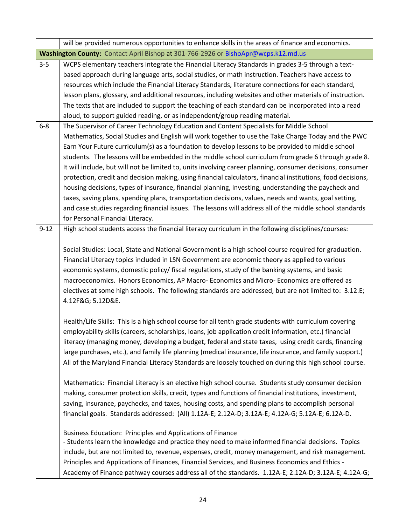|          | will be provided numerous opportunities to enhance skills in the areas of finance and economics.             |  |  |  |  |  |
|----------|--------------------------------------------------------------------------------------------------------------|--|--|--|--|--|
|          | Washington County: Contact April Bishop at 301-766-2926 or BishoApr@wcps.k12.md.us                           |  |  |  |  |  |
| $3 - 5$  | WCPS elementary teachers integrate the Financial Literacy Standards in grades 3-5 through a text-            |  |  |  |  |  |
|          | based approach during language arts, social studies, or math instruction. Teachers have access to            |  |  |  |  |  |
|          | resources which include the Financial Literacy Standards, literature connections for each standard,          |  |  |  |  |  |
|          | lesson plans, glossary, and additional resources, including websites and other materials of instruction.     |  |  |  |  |  |
|          | The texts that are included to support the teaching of each standard can be incorporated into a read         |  |  |  |  |  |
|          | aloud, to support guided reading, or as independent/group reading material.                                  |  |  |  |  |  |
| $6 - 8$  | The Supervisor of Career Technology Education and Content Specialists for Middle School                      |  |  |  |  |  |
|          | Mathematics, Social Studies and English will work together to use the Take Charge Today and the PWC          |  |  |  |  |  |
|          | Earn Your Future curriculum(s) as a foundation to develop lessons to be provided to middle school            |  |  |  |  |  |
|          | students. The lessons will be embedded in the middle school curriculum from grade 6 through grade 8.         |  |  |  |  |  |
|          | It will include, but will not be limited to, units involving career planning, consumer decisions, consumer   |  |  |  |  |  |
|          | protection, credit and decision making, using financial calculators, financial institutions, food decisions, |  |  |  |  |  |
|          | housing decisions, types of insurance, financial planning, investing, understanding the paycheck and         |  |  |  |  |  |
|          | taxes, saving plans, spending plans, transportation decisions, values, needs and wants, goal setting,        |  |  |  |  |  |
|          | and case studies regarding financial issues. The lessons will address all of the middle school standards     |  |  |  |  |  |
|          | for Personal Financial Literacy.                                                                             |  |  |  |  |  |
| $9 - 12$ | High school students access the financial literacy curriculum in the following disciplines/courses:          |  |  |  |  |  |
|          |                                                                                                              |  |  |  |  |  |
|          | Social Studies: Local, State and National Government is a high school course required for graduation.        |  |  |  |  |  |
|          | Financial Literacy topics included in LSN Government are economic theory as applied to various               |  |  |  |  |  |
|          | economic systems, domestic policy/ fiscal regulations, study of the banking systems, and basic               |  |  |  |  |  |
|          | macroeconomics. Honors Economics, AP Macro- Economics and Micro- Economics are offered as                    |  |  |  |  |  |
|          | electives at some high schools. The following standards are addressed, but are not limited to: 3.12.E;       |  |  |  |  |  |
|          | 4.12F&G 5.12D&E.                                                                                             |  |  |  |  |  |
|          |                                                                                                              |  |  |  |  |  |
|          | Health/Life Skills: This is a high school course for all tenth grade students with curriculum covering       |  |  |  |  |  |
|          | employability skills (careers, scholarships, loans, job application credit information, etc.) financial      |  |  |  |  |  |
|          | literacy (managing money, developing a budget, federal and state taxes, using credit cards, financing        |  |  |  |  |  |
|          | large purchases, etc.), and family life planning (medical insurance, life insurance, and family support.)    |  |  |  |  |  |
|          | All of the Maryland Financial Literacy Standards are loosely touched on during this high school course.      |  |  |  |  |  |
|          | Mathematics: Financial Literacy is an elective high school course. Students study consumer decision          |  |  |  |  |  |
|          | making, consumer protection skills, credit, types and functions of financial institutions, investment,       |  |  |  |  |  |
|          | saving, insurance, paychecks, and taxes, housing costs, and spending plans to accomplish personal            |  |  |  |  |  |
|          | financial goals. Standards addressed: (All) 1.12A-E; 2.12A-D; 3.12A-E; 4.12A-G; 5.12A-E; 6.12A-D.            |  |  |  |  |  |
|          |                                                                                                              |  |  |  |  |  |
|          | <b>Business Education: Principles and Applications of Finance</b>                                            |  |  |  |  |  |
|          | - Students learn the knowledge and practice they need to make informed financial decisions. Topics           |  |  |  |  |  |
|          | include, but are not limited to, revenue, expenses, credit, money management, and risk management.           |  |  |  |  |  |
|          | Principles and Applications of Finances, Financial Services, and Business Economics and Ethics -             |  |  |  |  |  |
|          | Academy of Finance pathway courses address all of the standards. 1.12A-E; 2.12A-D; 3.12A-E; 4.12A-G;         |  |  |  |  |  |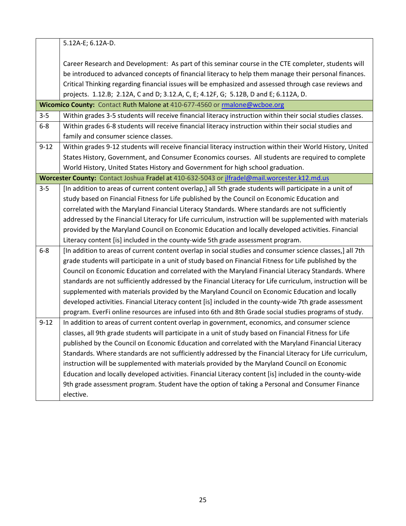5.12A-E; 6.12A-D. Career Research and Development: As part of this seminar course in the CTE completer, students will be introduced to advanced concepts of financial literacy to help them manage their personal finances. Critical Thinking regarding financial issues will be emphasized and assessed through case reviews and

projects. 1.12.B; 2.12A, C and D; 3.12.A, C, E; 4.12F, G; 5.12B, D and E; 6.112A, D. Wicomico County: Contact Ruth Malone at 410-677-4560 or **rmalone@wcboe.org** 3-5 Within grades 3-5 students will receive financial literacy instruction within their social studies classes. 6-8 Within grades 6-8 students will receive financial literacy instruction within their social studies and family and consumer science classes. 9-12 Within grades 9-12 students will receive financial literacy instruction within their World History, United States History, Government, and Consumer Economics courses. All students are required to complete

World History, United States History and Government for high school graduation.

**Worcester County:** Contact Joshua Fradel at 410-632-5043 or [jlfradel@mail.worcester.k12.md.us](mailto:jlfradel@mail.worcester.k12.md.us)

- 3-5 [In addition to areas of current content overlap,] all 5th grade students will participate in a unit of study based on Financial Fitness for Life published by the Council on Economic Education and correlated with the Maryland Financial Literacy Standards. Where standards are not sufficiently addressed by the Financial Literacy for Life curriculum, instruction will be supplemented with materials provided by the Maryland Council on Economic Education and locally developed activities. Financial Literacy content [is] included in the county-wide 5th grade assessment program.
- 6-8 [In addition to areas of current content overlap in social studies and consumer science classes,] all 7th grade students will participate in a unit of study based on Financial Fitness for Life published by the Council on Economic Education and correlated with the Maryland Financial Literacy Standards. Where standards are not sufficiently addressed by the Financial Literacy for Life curriculum, instruction will be supplemented with materials provided by the Maryland Council on Economic Education and locally developed activities. Financial Literacy content [is] included in the county-wide 7th grade assessment program. EverFi online resources are infused into 6th and 8th Grade social studies programs of study.
- 9-12 | In addition to areas of current content overlap in government, economics, and consumer science classes, all 9th grade students will participate in a unit of study based on Financial Fitness for Life published by the Council on Economic Education and correlated with the Maryland Financial Literacy Standards. Where standards are not sufficiently addressed by the Financial Literacy for Life curriculum, instruction will be supplemented with materials provided by the Maryland Council on Economic Education and locally developed activities. Financial Literacy content [is] included in the county-wide 9th grade assessment program. Student have the option of taking a Personal and Consumer Finance elective.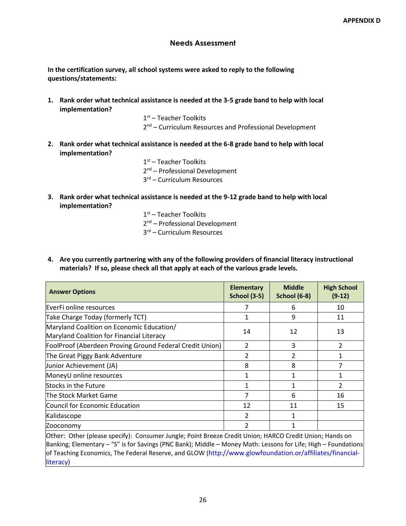## **Needs Assessment**

**In the certification survey, all school systems were asked to reply to the following questions/statements:** 

**1. Rank order what technical assistance is needed at the 3-5 grade band to help with local implementation?**

> 1 st – Teacher Toolkits 2<sup>nd</sup> – Curriculum Resources and Professional Development

**2. Rank order what technical assistance is needed at the 6-8 grade band to help with local implementation?**

> 1<sup>st</sup> – Teacher Toolkits 2<sup>nd</sup> – Professional Development 3 rd – Curriculum Resources

**3. Rank order what technical assistance is needed at the 9-12 grade band to help with local implementation?**

> 1 st – Teacher Toolkits 2<sup>nd</sup> – Professional Development 3 rd – Curriculum Resources

**4. Are you currently partnering with any of the following providers of financial literacy instructional materials? If so, please check all that apply at each of the various grade levels.** 

| <b>Answer Options</b>                                                                                                                                                                                                                                                                                                                 | <b>Elementary</b><br><b>School (3-5)</b> | <b>Middle</b><br><b>School (6-8)</b> | <b>High School</b><br>$(9-12)$ |
|---------------------------------------------------------------------------------------------------------------------------------------------------------------------------------------------------------------------------------------------------------------------------------------------------------------------------------------|------------------------------------------|--------------------------------------|--------------------------------|
| EverFi online resources                                                                                                                                                                                                                                                                                                               |                                          | 6                                    | 10                             |
| Take Charge Today (formerly TCT)                                                                                                                                                                                                                                                                                                      |                                          | 9                                    | 11                             |
| Maryland Coalition on Economic Education/<br>Maryland Coalition for Financial Literacy                                                                                                                                                                                                                                                | 14                                       | 12                                   | 13                             |
| FoolProof (Aberdeen Proving Ground Federal Credit Union)                                                                                                                                                                                                                                                                              | $\overline{2}$                           | 3                                    | 2                              |
| The Great Piggy Bank Adventure                                                                                                                                                                                                                                                                                                        | $\overline{2}$                           | 2                                    | 1                              |
| Junior Achievement (JA)                                                                                                                                                                                                                                                                                                               | 8                                        | 8                                    |                                |
| MoneyU online resources                                                                                                                                                                                                                                                                                                               | 1                                        | 1                                    | 1                              |
| Stocks in the Future                                                                                                                                                                                                                                                                                                                  | 1                                        | 1                                    | $\overline{2}$                 |
| The Stock Market Game                                                                                                                                                                                                                                                                                                                 | 7                                        | 6                                    | 16                             |
| Council for Economic Education                                                                                                                                                                                                                                                                                                        | 12                                       | 11                                   | 15                             |
| Kalidascope                                                                                                                                                                                                                                                                                                                           | 2                                        | 1                                    |                                |
| Zooconomy                                                                                                                                                                                                                                                                                                                             | 2                                        |                                      |                                |
| Other: Other (please specify): Consumer Jungle; Point Breeze Credit Union; HARCO Credit Union; Hands on<br>Banking; Elementary - "S" is for Savings (PNC Bank); Middle - Money Math: Lessons for Life; High - Foundations<br>of Teaching Economics, The Federal Reserve, and GLOW (http://www.glowfoundation.or/affiliates/financial- |                                          |                                      |                                |

literacy)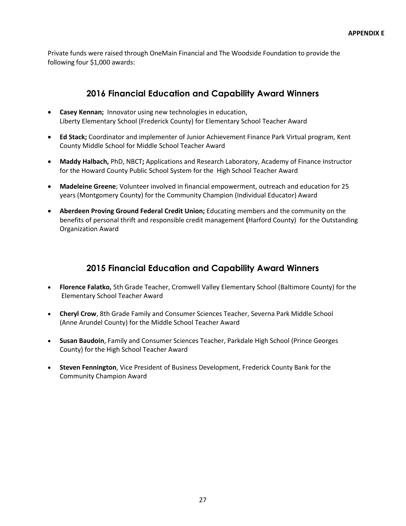Private funds were raised through OneMain Financial and The Woodside Foundation to provide the following four \$1,000 awards:

# **2016 Financial Education and Capability Award Winners**

- **Casey Kennan;** Innovator using new technologies in education, Liberty Elementary School (Frederick County) for Elementary School Teacher Award
- **Ed Stack;** Coordinator and implementer of Junior Achievement Finance Park Virtual program, Kent County Middle School for Middle School Teacher Award
- **Maddy Halbach,** PhD, NBCT**;** Applications and Research Laboratory, Academy of Finance Instructor for the Howard County Public School System for the High School Teacher Award
- **Madeleine Greene**; Volunteer involved in financial empowerment, outreach and education for 25 years (Montgomery County) for the Community Champion (Individual Educator) Award
- **Aberdeen Proving Ground Federal Credit Union;** Educating members and the community on the benefits of personal thrift and responsible credit management **(**Harford County) for the Outstanding Organization Award

# **2015 Financial Education and Capability Award Winners**

- **Florence Falatko,** 5th Grade Teacher, Cromwell Valley Elementary School (Baltimore County) for the Elementary School Teacher Award
- **Cheryl Crow**, 8th Grade Family and Consumer Sciences Teacher, Severna Park Middle School (Anne Arundel County) for the Middle School Teacher Award
- **Susan Baudoin**, Family and Consumer Sciences Teacher, Parkdale High School (Prince Georges County) for the High School Teacher Award
- **Steven Fennington**, Vice President of Business Development, Frederick County Bank for the Community Champion Award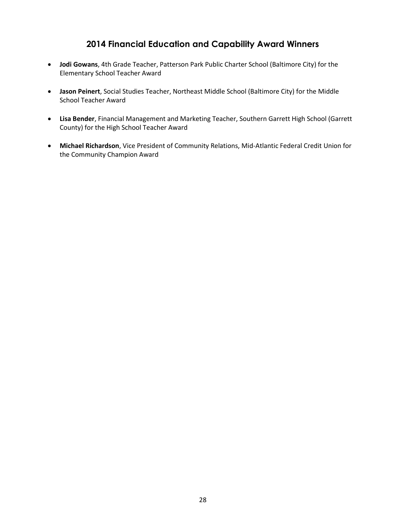# **2014 Financial Education and Capability Award Winners**

- **Jodi Gowans**, 4th Grade Teacher, Patterson Park Public Charter School (Baltimore City) for the Elementary School Teacher Award
- **Jason Peinert**, Social Studies Teacher, Northeast Middle School (Baltimore City) for the Middle School Teacher Award
- **Lisa Bender**, Financial Management and Marketing Teacher, Southern Garrett High School (Garrett County) for the High School Teacher Award
- **Michael Richardson**, Vice President of Community Relations, Mid-Atlantic Federal Credit Union for the Community Champion Award